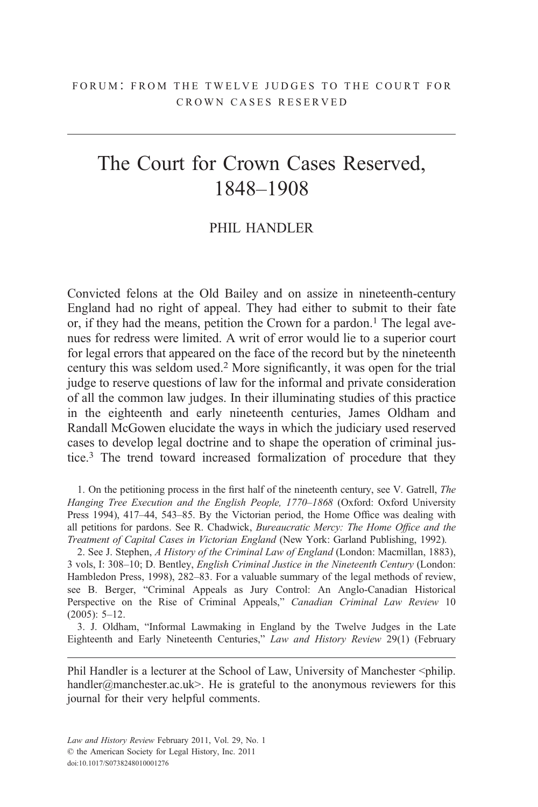# The Court for Crown Cases Reserved, 1848–1908

## PHIL HANDLER

Convicted felons at the Old Bailey and on assize in nineteenth-century England had no right of appeal. They had either to submit to their fate or, if they had the means, petition the Crown for a pardon.<sup>1</sup> The legal avenues for redress were limited. A writ of error would lie to a superior court for legal errors that appeared on the face of the record but by the nineteenth century this was seldom used.<sup>2</sup> More significantly, it was open for the trial judge to reserve questions of law for the informal and private consideration of all the common law judges. In their illuminating studies of this practice in the eighteenth and early nineteenth centuries, James Oldham and Randall McGowen elucidate the ways in which the judiciary used reserved cases to develop legal doctrine and to shape the operation of criminal justice.3 The trend toward increased formalization of procedure that they

1. On the petitioning process in the first half of the nineteenth century, see V. Gatrell, The Hanging Tree Execution and the English People, 1770–1868 (Oxford: Oxford University Press 1994), 417–44, 543–85. By the Victorian period, the Home Office was dealing with all petitions for pardons. See R. Chadwick, Bureaucratic Mercy: The Home Office and the Treatment of Capital Cases in Victorian England (New York: Garland Publishing, 1992).

2. See J. Stephen, A History of the Criminal Law of England (London: Macmillan, 1883), 3 vols, I: 308–10; D. Bentley, English Criminal Justice in the Nineteenth Century (London: Hambledon Press, 1998), 282–83. For a valuable summary of the legal methods of review, see B. Berger, "Criminal Appeals as Jury Control: An Anglo-Canadian Historical Perspective on the Rise of Criminal Appeals," Canadian Criminal Law Review 10 (2005): 5–12.

3. J. Oldham, "Informal Lawmaking in England by the Twelve Judges in the Late Eighteenth and Early Nineteenth Centuries," Law and History Review 29(1) (February

Phil Handler is a lecturer at the School of Law, University of Manchester <philip. handler@manchester.ac.uk>. He is grateful to the anonymous reviewers for this journal for their very helpful comments.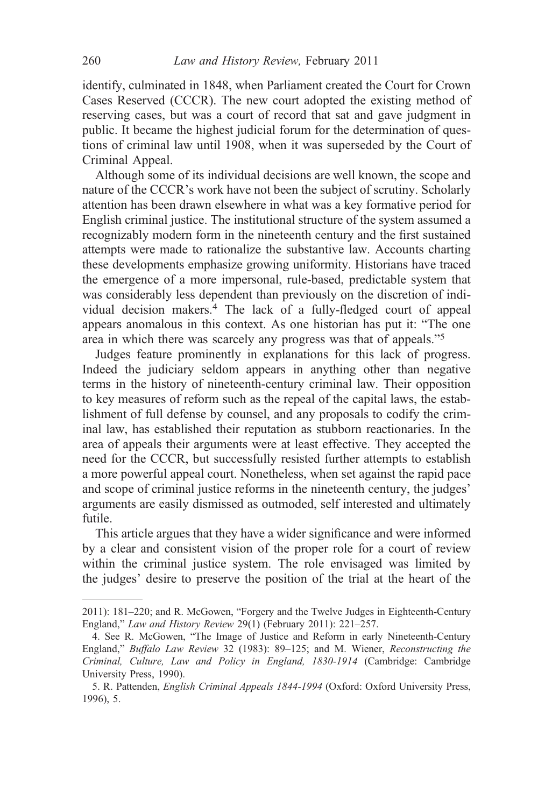identify, culminated in 1848, when Parliament created the Court for Crown Cases Reserved (CCCR). The new court adopted the existing method of reserving cases, but was a court of record that sat and gave judgment in public. It became the highest judicial forum for the determination of questions of criminal law until 1908, when it was superseded by the Court of Criminal Appeal.

Although some of its individual decisions are well known, the scope and nature of the CCCR's work have not been the subject of scrutiny. Scholarly attention has been drawn elsewhere in what was a key formative period for English criminal justice. The institutional structure of the system assumed a recognizably modern form in the nineteenth century and the first sustained attempts were made to rationalize the substantive law. Accounts charting these developments emphasize growing uniformity. Historians have traced the emergence of a more impersonal, rule-based, predictable system that was considerably less dependent than previously on the discretion of individual decision makers.4 The lack of a fully-fledged court of appeal appears anomalous in this context. As one historian has put it: "The one area in which there was scarcely any progress was that of appeals."<sup>5</sup>

Judges feature prominently in explanations for this lack of progress. Indeed the judiciary seldom appears in anything other than negative terms in the history of nineteenth-century criminal law. Their opposition to key measures of reform such as the repeal of the capital laws, the establishment of full defense by counsel, and any proposals to codify the criminal law, has established their reputation as stubborn reactionaries. In the area of appeals their arguments were at least effective. They accepted the need for the CCCR, but successfully resisted further attempts to establish a more powerful appeal court. Nonetheless, when set against the rapid pace and scope of criminal justice reforms in the nineteenth century, the judges' arguments are easily dismissed as outmoded, self interested and ultimately futile.

This article argues that they have a wider significance and were informed by a clear and consistent vision of the proper role for a court of review within the criminal justice system. The role envisaged was limited by the judges' desire to preserve the position of the trial at the heart of the

<sup>2011): 181</sup>–220; and R. McGowen, "Forgery and the Twelve Judges in Eighteenth-Century England," Law and History Review 29(1) (February 2011): 221–257.

<sup>4.</sup> See R. McGowen, "The Image of Justice and Reform in early Nineteenth-Century England," Buffalo Law Review 32 (1983): 89–125; and M. Wiener, Reconstructing the Criminal, Culture, Law and Policy in England, 1830-1914 (Cambridge: Cambridge University Press, 1990).

<sup>5.</sup> R. Pattenden, English Criminal Appeals 1844-1994 (Oxford: Oxford University Press, 1996), 5.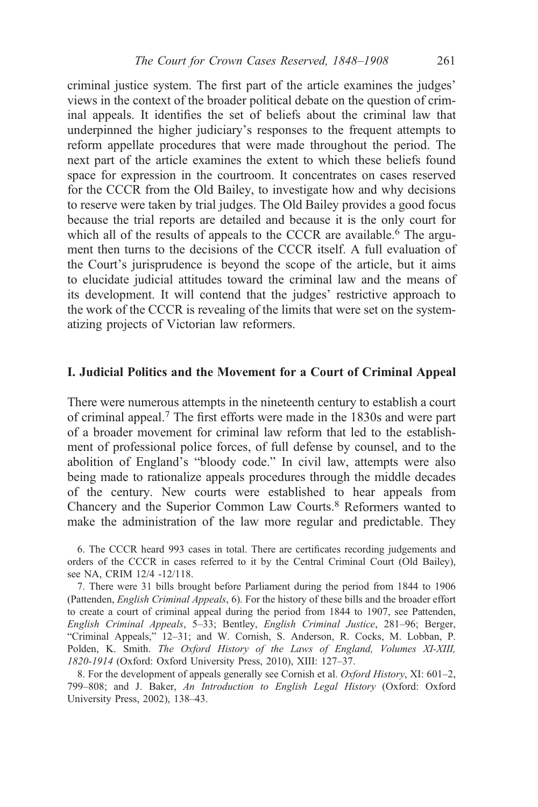criminal justice system. The first part of the article examines the judges' views in the context of the broader political debate on the question of criminal appeals. It identifies the set of beliefs about the criminal law that underpinned the higher judiciary's responses to the frequent attempts to reform appellate procedures that were made throughout the period. The next part of the article examines the extent to which these beliefs found space for expression in the courtroom. It concentrates on cases reserved for the CCCR from the Old Bailey, to investigate how and why decisions to reserve were taken by trial judges. The Old Bailey provides a good focus because the trial reports are detailed and because it is the only court for which all of the results of appeals to the CCCR are available.<sup>6</sup> The argument then turns to the decisions of the CCCR itself. A full evaluation of the Court's jurisprudence is beyond the scope of the article, but it aims to elucidate judicial attitudes toward the criminal law and the means of its development. It will contend that the judges' restrictive approach to the work of the CCCR is revealing of the limits that were set on the systematizing projects of Victorian law reformers.

## I. Judicial Politics and the Movement for a Court of Criminal Appeal

There were numerous attempts in the nineteenth century to establish a court of criminal appeal.7 The first efforts were made in the 1830s and were part of a broader movement for criminal law reform that led to the establishment of professional police forces, of full defense by counsel, and to the abolition of England's "bloody code." In civil law, attempts were also being made to rationalize appeals procedures through the middle decades of the century. New courts were established to hear appeals from Chancery and the Superior Common Law Courts.8 Reformers wanted to make the administration of the law more regular and predictable. They

6. The CCCR heard 993 cases in total. There are certificates recording judgements and orders of the CCCR in cases referred to it by the Central Criminal Court (Old Bailey), see NA, CRIM 12/4 -12/118.

7. There were 31 bills brought before Parliament during the period from 1844 to 1906 (Pattenden, English Criminal Appeals, 6). For the history of these bills and the broader effort to create a court of criminal appeal during the period from 1844 to 1907, see Pattenden, English Criminal Appeals, 5–33; Bentley, English Criminal Justice, 281–96; Berger, "Criminal Appeals," 12–31; and W. Cornish, S. Anderson, R. Cocks, M. Lobban, P. Polden, K. Smith. The Oxford History of the Laws of England, Volumes XI-XIII, 1820-1914 (Oxford: Oxford University Press, 2010), XIII: 127–37.

8. For the development of appeals generally see Cornish et al. Oxford History, XI: 601-2, 799–808; and J. Baker, An Introduction to English Legal History (Oxford: Oxford University Press, 2002), 138–43.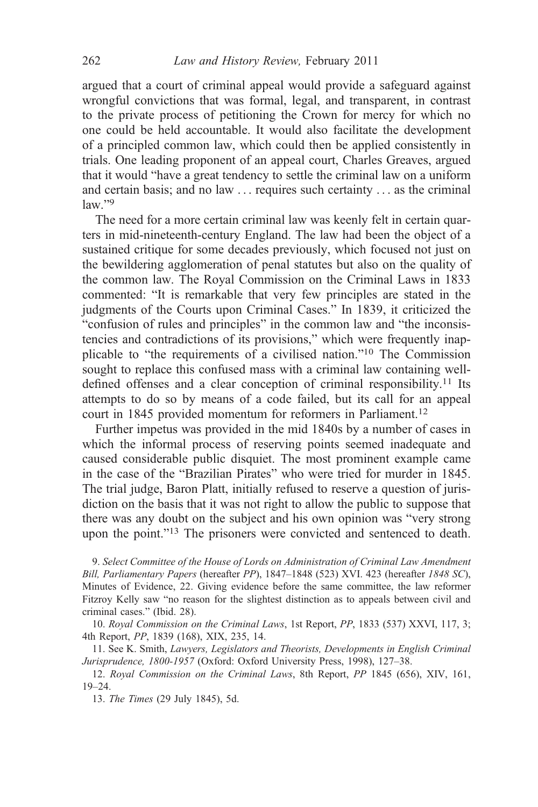argued that a court of criminal appeal would provide a safeguard against wrongful convictions that was formal, legal, and transparent, in contrast to the private process of petitioning the Crown for mercy for which no one could be held accountable. It would also facilitate the development of a principled common law, which could then be applied consistently in trials. One leading proponent of an appeal court, Charles Greaves, argued that it would "have a great tendency to settle the criminal law on a uniform and certain basis; and no law ... requires such certainty ... as the criminal  $law.$ "9

The need for a more certain criminal law was keenly felt in certain quarters in mid-nineteenth-century England. The law had been the object of a sustained critique for some decades previously, which focused not just on the bewildering agglomeration of penal statutes but also on the quality of the common law. The Royal Commission on the Criminal Laws in 1833 commented: "It is remarkable that very few principles are stated in the judgments of the Courts upon Criminal Cases." In 1839, it criticized the "confusion of rules and principles" in the common law and "the inconsistencies and contradictions of its provisions," which were frequently inapplicable to "the requirements of a civilised nation."<sup>10</sup> The Commission sought to replace this confused mass with a criminal law containing welldefined offenses and a clear conception of criminal responsibility.<sup>11</sup> Its attempts to do so by means of a code failed, but its call for an appeal court in 1845 provided momentum for reformers in Parliament.<sup>12</sup>

Further impetus was provided in the mid 1840s by a number of cases in which the informal process of reserving points seemed inadequate and caused considerable public disquiet. The most prominent example came in the case of the "Brazilian Pirates" who were tried for murder in 1845. The trial judge, Baron Platt, initially refused to reserve a question of jurisdiction on the basis that it was not right to allow the public to suppose that there was any doubt on the subject and his own opinion was "very strong upon the point."<sup>13</sup> The prisoners were convicted and sentenced to death.

9. Select Committee of the House of Lords on Administration of Criminal Law Amendment Bill, Parliamentary Papers (hereafter PP), 1847–1848 (523) XVI. 423 (hereafter 1848 SC), Minutes of Evidence, 22. Giving evidence before the same committee, the law reformer Fitzroy Kelly saw "no reason for the slightest distinction as to appeals between civil and criminal cases." (Ibid. 28).

10. Royal Commission on the Criminal Laws, 1st Report, PP, 1833 (537) XXVI, 117, 3; 4th Report, PP, 1839 (168), XIX, 235, 14.

11. See K. Smith, Lawyers, Legislators and Theorists, Developments in English Criminal Jurisprudence, 1800-1957 (Oxford: Oxford University Press, 1998), 127–38.

12. Royal Commission on the Criminal Laws, 8th Report, PP 1845 (656), XIV, 161, 19–24.

13. The Times (29 July 1845), 5d.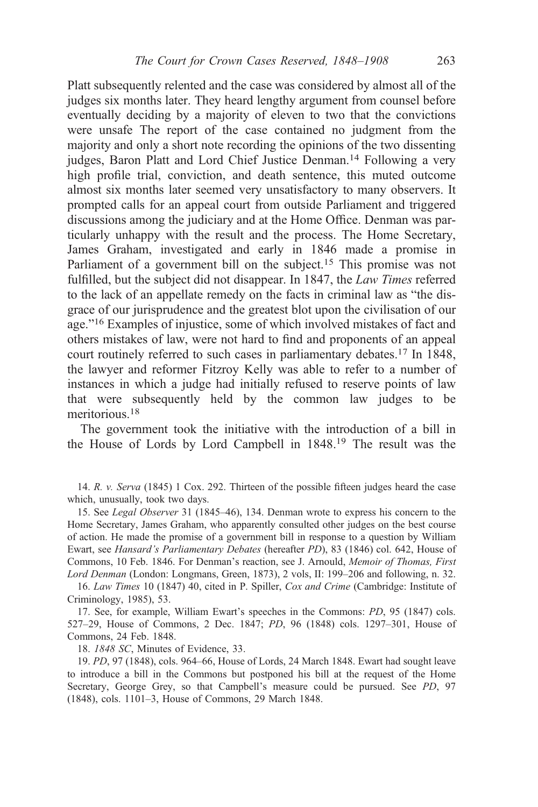Platt subsequently relented and the case was considered by almost all of the judges six months later. They heard lengthy argument from counsel before eventually deciding by a majority of eleven to two that the convictions were unsafe The report of the case contained no judgment from the majority and only a short note recording the opinions of the two dissenting judges, Baron Platt and Lord Chief Justice Denman.<sup>14</sup> Following a very high profile trial, conviction, and death sentence, this muted outcome almost six months later seemed very unsatisfactory to many observers. It prompted calls for an appeal court from outside Parliament and triggered discussions among the judiciary and at the Home Office. Denman was particularly unhappy with the result and the process. The Home Secretary, James Graham, investigated and early in 1846 made a promise in Parliament of a government bill on the subject.<sup>15</sup> This promise was not fulfilled, but the subject did not disappear. In 1847, the Law Times referred to the lack of an appellate remedy on the facts in criminal law as "the disgrace of our jurisprudence and the greatest blot upon the civilisation of our age."<sup>16</sup> Examples of injustice, some of which involved mistakes of fact and others mistakes of law, were not hard to find and proponents of an appeal court routinely referred to such cases in parliamentary debates.17 In 1848, the lawyer and reformer Fitzroy Kelly was able to refer to a number of instances in which a judge had initially refused to reserve points of law that were subsequently held by the common law judges to be meritorious.<sup>18</sup>

The government took the initiative with the introduction of a bill in the House of Lords by Lord Campbell in 1848.19 The result was the

14. R. v. Serva (1845) 1 Cox. 292. Thirteen of the possible fifteen judges heard the case which, unusually, took two days.

15. See Legal Observer 31 (1845–46), 134. Denman wrote to express his concern to the Home Secretary, James Graham, who apparently consulted other judges on the best course of action. He made the promise of a government bill in response to a question by William Ewart, see Hansard's Parliamentary Debates (hereafter PD), 83 (1846) col. 642, House of Commons, 10 Feb. 1846. For Denman's reaction, see J. Arnould, Memoir of Thomas, First Lord Denman (London: Longmans, Green, 1873), 2 vols, II: 199–206 and following, n. 32.

16. Law Times 10 (1847) 40, cited in P. Spiller, Cox and Crime (Cambridge: Institute of Criminology, 1985), 53.

17. See, for example, William Ewart's speeches in the Commons: PD, 95 (1847) cols. 527–29, House of Commons, 2 Dec. 1847; PD, 96 (1848) cols. 1297–301, House of Commons, 24 Feb. 1848.

18. 1848 SC, Minutes of Evidence, 33.

19. PD, 97 (1848), cols. 964–66, House of Lords, 24 March 1848. Ewart had sought leave to introduce a bill in the Commons but postponed his bill at the request of the Home Secretary, George Grey, so that Campbell's measure could be pursued. See PD, 97 (1848), cols. 1101–3, House of Commons, 29 March 1848.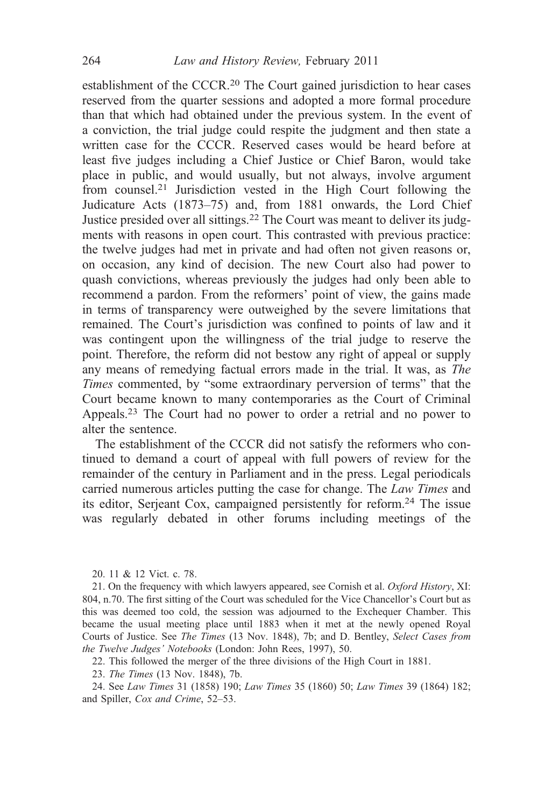establishment of the CCCR.<sup>20</sup> The Court gained jurisdiction to hear cases reserved from the quarter sessions and adopted a more formal procedure than that which had obtained under the previous system. In the event of a conviction, the trial judge could respite the judgment and then state a written case for the CCCR. Reserved cases would be heard before at least five judges including a Chief Justice or Chief Baron, would take place in public, and would usually, but not always, involve argument from counsel.21 Jurisdiction vested in the High Court following the Judicature Acts (1873–75) and, from 1881 onwards, the Lord Chief Justice presided over all sittings.<sup>22</sup> The Court was meant to deliver its judgments with reasons in open court. This contrasted with previous practice: the twelve judges had met in private and had often not given reasons or, on occasion, any kind of decision. The new Court also had power to quash convictions, whereas previously the judges had only been able to recommend a pardon. From the reformers' point of view, the gains made in terms of transparency were outweighed by the severe limitations that remained. The Court's jurisdiction was confined to points of law and it was contingent upon the willingness of the trial judge to reserve the point. Therefore, the reform did not bestow any right of appeal or supply any means of remedying factual errors made in the trial. It was, as The Times commented, by "some extraordinary perversion of terms" that the Court became known to many contemporaries as the Court of Criminal Appeals.23 The Court had no power to order a retrial and no power to alter the sentence.

The establishment of the CCCR did not satisfy the reformers who continued to demand a court of appeal with full powers of review for the remainder of the century in Parliament and in the press. Legal periodicals carried numerous articles putting the case for change. The Law Times and its editor, Serjeant Cox, campaigned persistently for reform.24 The issue was regularly debated in other forums including meetings of the

22. This followed the merger of the three divisions of the High Court in 1881.

23. The Times (13 Nov. 1848), 7b.

24. See Law Times 31 (1858) 190; Law Times 35 (1860) 50; Law Times 39 (1864) 182; and Spiller, Cox and Crime, 52–53.

<sup>20. 11 &</sup>amp; 12 Vict. c. 78.

<sup>21.</sup> On the frequency with which lawyers appeared, see Cornish et al. Oxford History, XI: 804, n.70. The first sitting of the Court was scheduled for the Vice Chancellor's Court but as this was deemed too cold, the session was adjourned to the Exchequer Chamber. This became the usual meeting place until 1883 when it met at the newly opened Royal Courts of Justice. See The Times (13 Nov. 1848), 7b; and D. Bentley, Select Cases from the Twelve Judges' Notebooks (London: John Rees, 1997), 50.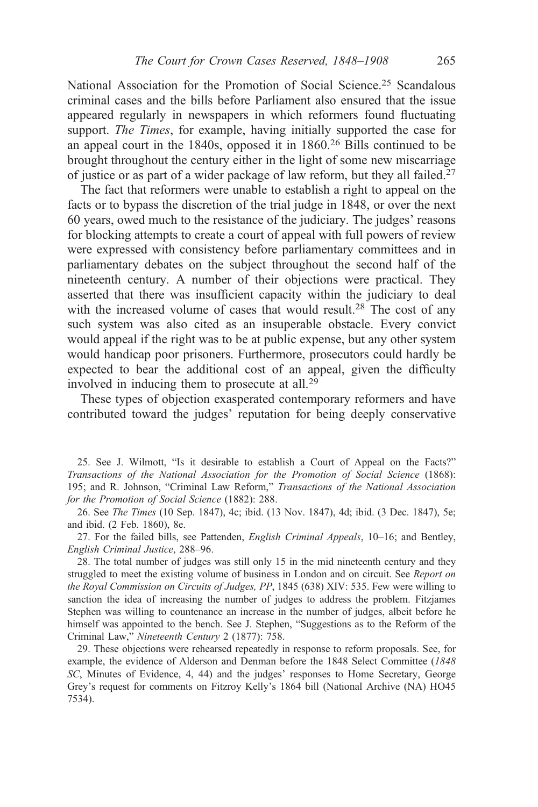National Association for the Promotion of Social Science.<sup>25</sup> Scandalous criminal cases and the bills before Parliament also ensured that the issue appeared regularly in newspapers in which reformers found fluctuating support. The Times, for example, having initially supported the case for an appeal court in the 1840s, opposed it in 1860.26 Bills continued to be brought throughout the century either in the light of some new miscarriage of justice or as part of a wider package of law reform, but they all failed.27

The fact that reformers were unable to establish a right to appeal on the facts or to bypass the discretion of the trial judge in 1848, or over the next 60 years, owed much to the resistance of the judiciary. The judges' reasons for blocking attempts to create a court of appeal with full powers of review were expressed with consistency before parliamentary committees and in parliamentary debates on the subject throughout the second half of the nineteenth century. A number of their objections were practical. They asserted that there was insufficient capacity within the judiciary to deal with the increased volume of cases that would result.<sup>28</sup> The cost of any such system was also cited as an insuperable obstacle. Every convict would appeal if the right was to be at public expense, but any other system would handicap poor prisoners. Furthermore, prosecutors could hardly be expected to bear the additional cost of an appeal, given the difficulty involved in inducing them to prosecute at all.29

These types of objection exasperated contemporary reformers and have contributed toward the judges' reputation for being deeply conservative

25. See J. Wilmott, "Is it desirable to establish a Court of Appeal on the Facts?" Transactions of the National Association for the Promotion of Social Science (1868): 195; and R. Johnson, "Criminal Law Reform," Transactions of the National Association for the Promotion of Social Science (1882): 288.

26. See The Times (10 Sep. 1847), 4c; ibid. (13 Nov. 1847), 4d; ibid. (3 Dec. 1847), 5e; and ibid. (2 Feb. 1860), 8e.

27. For the failed bills, see Pattenden, English Criminal Appeals, 10–16; and Bentley, English Criminal Justice, 288–96.

28. The total number of judges was still only 15 in the mid nineteenth century and they struggled to meet the existing volume of business in London and on circuit. See Report on the Royal Commission on Circuits of Judges, PP, 1845 (638) XIV: 535. Few were willing to sanction the idea of increasing the number of judges to address the problem. Fitzjames Stephen was willing to countenance an increase in the number of judges, albeit before he himself was appointed to the bench. See J. Stephen, "Suggestions as to the Reform of the Criminal Law," Nineteenth Century 2 (1877): 758.

29. These objections were rehearsed repeatedly in response to reform proposals. See, for example, the evidence of Alderson and Denman before the 1848 Select Committee (1848 SC, Minutes of Evidence, 4, 44) and the judges' responses to Home Secretary, George Grey's request for comments on Fitzroy Kelly's 1864 bill (National Archive (NA) HO45 7534).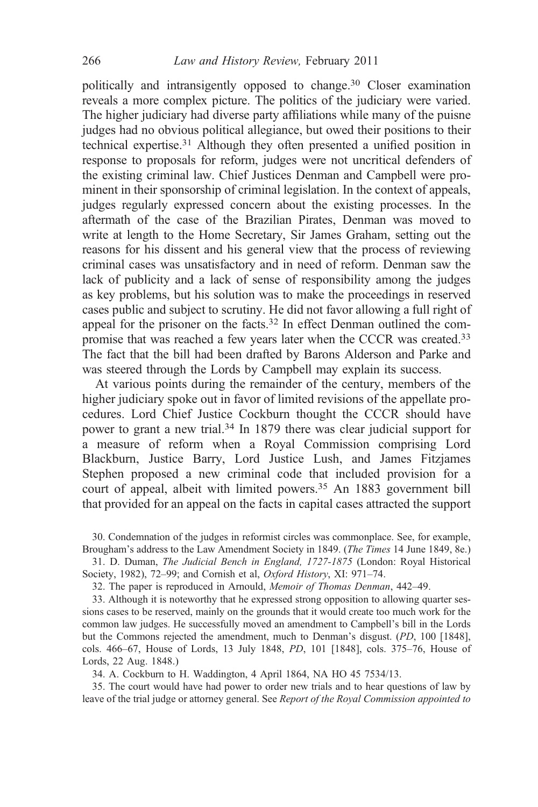politically and intransigently opposed to change.30 Closer examination reveals a more complex picture. The politics of the judiciary were varied. The higher judiciary had diverse party affiliations while many of the puisne judges had no obvious political allegiance, but owed their positions to their technical expertise.31 Although they often presented a unified position in response to proposals for reform, judges were not uncritical defenders of the existing criminal law. Chief Justices Denman and Campbell were prominent in their sponsorship of criminal legislation. In the context of appeals, judges regularly expressed concern about the existing processes. In the aftermath of the case of the Brazilian Pirates, Denman was moved to write at length to the Home Secretary, Sir James Graham, setting out the reasons for his dissent and his general view that the process of reviewing criminal cases was unsatisfactory and in need of reform. Denman saw the lack of publicity and a lack of sense of responsibility among the judges as key problems, but his solution was to make the proceedings in reserved cases public and subject to scrutiny. He did not favor allowing a full right of appeal for the prisoner on the facts.<sup>32</sup> In effect Denman outlined the compromise that was reached a few years later when the CCCR was created.33 The fact that the bill had been drafted by Barons Alderson and Parke and was steered through the Lords by Campbell may explain its success.

At various points during the remainder of the century, members of the higher judiciary spoke out in favor of limited revisions of the appellate procedures. Lord Chief Justice Cockburn thought the CCCR should have power to grant a new trial.<sup>34</sup> In 1879 there was clear judicial support for a measure of reform when a Royal Commission comprising Lord Blackburn, Justice Barry, Lord Justice Lush, and James Fitzjames Stephen proposed a new criminal code that included provision for a court of appeal, albeit with limited powers.<sup>35</sup> An 1883 government bill that provided for an appeal on the facts in capital cases attracted the support

30. Condemnation of the judges in reformist circles was commonplace. See, for example, Brougham's address to the Law Amendment Society in 1849. (The Times 14 June 1849, 8e.)

31. D. Duman, The Judicial Bench in England, 1727-1875 (London: Royal Historical Society, 1982), 72–99; and Cornish et al, Oxford History, XI: 971–74.

32. The paper is reproduced in Arnould, Memoir of Thomas Denman, 442–49.

33. Although it is noteworthy that he expressed strong opposition to allowing quarter sessions cases to be reserved, mainly on the grounds that it would create too much work for the common law judges. He successfully moved an amendment to Campbell's bill in the Lords but the Commons rejected the amendment, much to Denman's disgust. (PD, 100 [1848], cols. 466–67, House of Lords, 13 July 1848, PD, 101 [1848], cols. 375–76, House of Lords, 22 Aug. 1848.)

34. A. Cockburn to H. Waddington, 4 April 1864, NA HO 45 7534/13.

35. The court would have had power to order new trials and to hear questions of law by leave of the trial judge or attorney general. See Report of the Royal Commission appointed to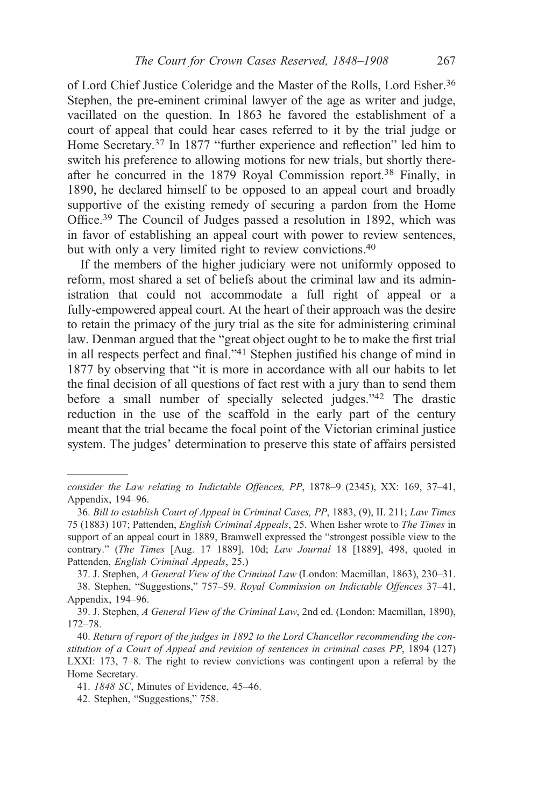of Lord Chief Justice Coleridge and the Master of the Rolls, Lord Esher.36 Stephen, the pre-eminent criminal lawyer of the age as writer and judge, vacillated on the question. In 1863 he favored the establishment of a court of appeal that could hear cases referred to it by the trial judge or Home Secretary.37 In 1877 "further experience and reflection" led him to switch his preference to allowing motions for new trials, but shortly thereafter he concurred in the 1879 Royal Commission report.38 Finally, in 1890, he declared himself to be opposed to an appeal court and broadly supportive of the existing remedy of securing a pardon from the Home Office.39 The Council of Judges passed a resolution in 1892, which was in favor of establishing an appeal court with power to review sentences, but with only a very limited right to review convictions.<sup>40</sup>

If the members of the higher judiciary were not uniformly opposed to reform, most shared a set of beliefs about the criminal law and its administration that could not accommodate a full right of appeal or a fully-empowered appeal court. At the heart of their approach was the desire to retain the primacy of the jury trial as the site for administering criminal law. Denman argued that the "great object ought to be to make the first trial in all respects perfect and final."<sup>41</sup> Stephen justified his change of mind in 1877 by observing that "it is more in accordance with all our habits to let the final decision of all questions of fact rest with a jury than to send them before a small number of specially selected judges."<sup>42</sup> The drastic reduction in the use of the scaffold in the early part of the century meant that the trial became the focal point of the Victorian criminal justice system. The judges' determination to preserve this state of affairs persisted

consider the Law relating to Indictable Offences, PP, 1878–9 (2345), XX: 169, 37–41, Appendix, 194–96.

<sup>36.</sup> Bill to establish Court of Appeal in Criminal Cases, PP, 1883, (9), II. 211; Law Times 75 (1883) 107; Pattenden, English Criminal Appeals, 25. When Esher wrote to The Times in support of an appeal court in 1889, Bramwell expressed the "strongest possible view to the contrary." (The Times [Aug. 17 1889], 10d; Law Journal 18 [1889], 498, quoted in Pattenden, English Criminal Appeals, 25.)

<sup>37.</sup> J. Stephen, A General View of the Criminal Law (London: Macmillan, 1863), 230–31. 38. Stephen, "Suggestions," 757–59. Royal Commission on Indictable Offences 37–41, Appendix, 194–96.

<sup>39.</sup> J. Stephen, A General View of the Criminal Law, 2nd ed. (London: Macmillan, 1890), 172–78.

<sup>40.</sup> Return of report of the judges in 1892 to the Lord Chancellor recommending the constitution of a Court of Appeal and revision of sentences in criminal cases PP, 1894 (127) LXXI: 173, 7–8. The right to review convictions was contingent upon a referral by the Home Secretary.

<sup>41.</sup> 1848 SC, Minutes of Evidence, 45–46.

<sup>42.</sup> Stephen, "Suggestions," 758.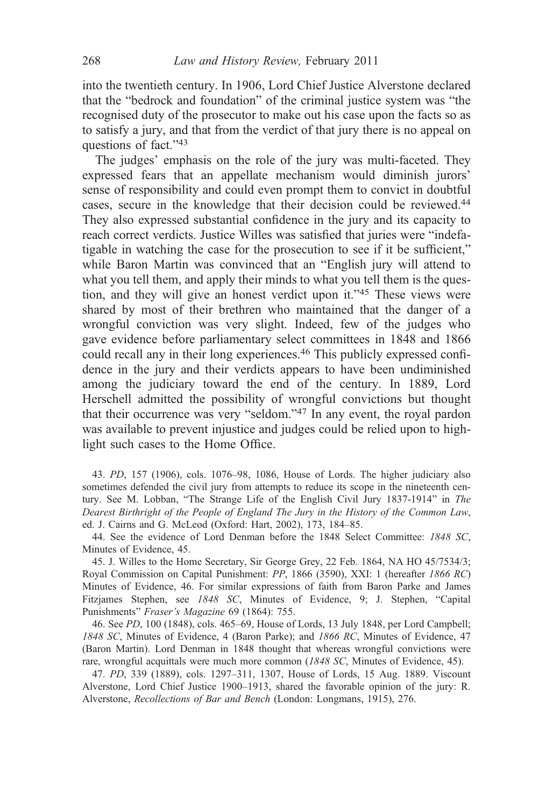into the twentieth century. In 1906, Lord Chief Justice Alverstone declared that the "bedrock and foundation" of the criminal justice system was "the recognised duty of the prosecutor to make out his case upon the facts so as to satisfy a jury, and that from the verdict of that jury there is no appeal on questions of fact."<sup>43</sup>

The judges' emphasis on the role of the jury was multi-faceted. They expressed fears that an appellate mechanism would diminish jurors' sense of responsibility and could even prompt them to convict in doubtful cases, secure in the knowledge that their decision could be reviewed.44 They also expressed substantial confidence in the jury and its capacity to reach correct verdicts. Justice Willes was satisfied that juries were "indefatigable in watching the case for the prosecution to see if it be sufficient," while Baron Martin was convinced that an "English jury will attend to what you tell them, and apply their minds to what you tell them is the question, and they will give an honest verdict upon it."<sup>45</sup> These views were shared by most of their brethren who maintained that the danger of a wrongful conviction was very slight. Indeed, few of the judges who gave evidence before parliamentary select committees in 1848 and 1866 could recall any in their long experiences.<sup>46</sup> This publicly expressed confidence in the jury and their verdicts appears to have been undiminished among the judiciary toward the end of the century. In 1889, Lord Herschell admitted the possibility of wrongful convictions but thought that their occurrence was very "seldom."<sup>47</sup> In any event, the royal pardon was available to prevent injustice and judges could be relied upon to highlight such cases to the Home Office.

43. PD, 157 (1906), cols. 1076–98, 1086, House of Lords. The higher judiciary also sometimes defended the civil jury from attempts to reduce its scope in the nineteenth century. See M. Lobban, "The Strange Life of the English Civil Jury 1837-1914" in The Dearest Birthright of the People of England The Jury in the History of the Common Law, ed. J. Cairns and G. McLeod (Oxford: Hart, 2002), 173, 184–85.

44. See the evidence of Lord Denman before the 1848 Select Committee: 1848 SC, Minutes of Evidence, 45.

45. J. Willes to the Home Secretary, Sir George Grey, 22 Feb. 1864, NA HO 45/7534/3; Royal Commission on Capital Punishment: PP, 1866 (3590), XXI: 1 (hereafter 1866 RC) Minutes of Evidence, 46. For similar expressions of faith from Baron Parke and James Fitzjames Stephen, see 1848 SC, Minutes of Evidence, 9; J. Stephen, "Capital Punishments" Fraser's Magazine 69 (1864): 755.

46. See PD, 100 (1848), cols. 465–69, House of Lords, 13 July 1848, per Lord Campbell; 1848 SC, Minutes of Evidence, 4 (Baron Parke); and 1866 RC, Minutes of Evidence, 47 (Baron Martin). Lord Denman in 1848 thought that whereas wrongful convictions were rare, wrongful acquittals were much more common (1848 SC, Minutes of Evidence, 45).

47. PD, 339 (1889), cols. 1297–311, 1307, House of Lords, 15 Aug. 1889. Viscount Alverstone, Lord Chief Justice 1900–1913, shared the favorable opinion of the jury: R. Alverstone, Recollections of Bar and Bench (London: Longmans, 1915), 276.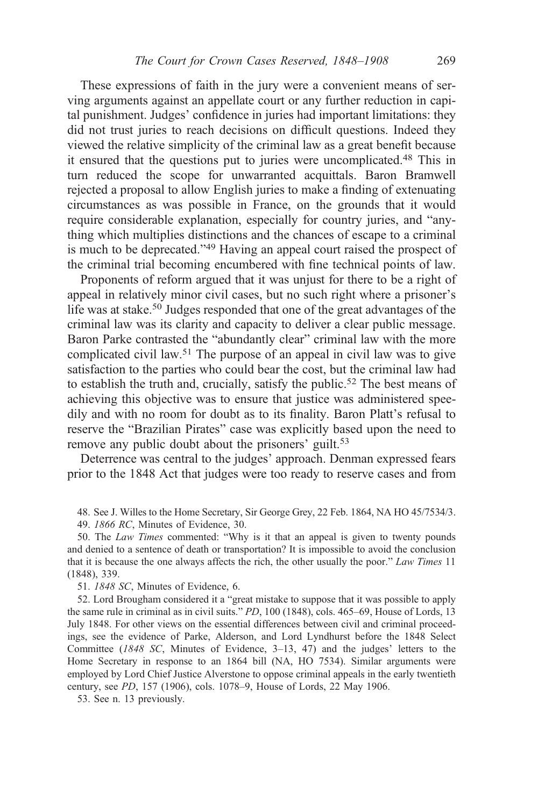These expressions of faith in the jury were a convenient means of serving arguments against an appellate court or any further reduction in capital punishment. Judges' confidence in juries had important limitations: they did not trust juries to reach decisions on difficult questions. Indeed they viewed the relative simplicity of the criminal law as a great benefit because it ensured that the questions put to juries were uncomplicated.48 This in turn reduced the scope for unwarranted acquittals. Baron Bramwell rejected a proposal to allow English juries to make a finding of extenuating circumstances as was possible in France, on the grounds that it would require considerable explanation, especially for country juries, and "anything which multiplies distinctions and the chances of escape to a criminal is much to be deprecated."<sup>49</sup> Having an appeal court raised the prospect of the criminal trial becoming encumbered with fine technical points of law.

Proponents of reform argued that it was unjust for there to be a right of appeal in relatively minor civil cases, but no such right where a prisoner's life was at stake.<sup>50</sup> Judges responded that one of the great advantages of the criminal law was its clarity and capacity to deliver a clear public message. Baron Parke contrasted the "abundantly clear" criminal law with the more complicated civil law.51 The purpose of an appeal in civil law was to give satisfaction to the parties who could bear the cost, but the criminal law had to establish the truth and, crucially, satisfy the public.<sup>52</sup> The best means of achieving this objective was to ensure that justice was administered speedily and with no room for doubt as to its finality. Baron Platt's refusal to reserve the "Brazilian Pirates" case was explicitly based upon the need to remove any public doubt about the prisoners' guilt.<sup>53</sup>

Deterrence was central to the judges' approach. Denman expressed fears prior to the 1848 Act that judges were too ready to reserve cases and from

48. See J. Willes to the Home Secretary, Sir George Grey, 22 Feb. 1864, NA HO 45/7534/3.

50. The Law Times commented: "Why is it that an appeal is given to twenty pounds and denied to a sentence of death or transportation? It is impossible to avoid the conclusion that it is because the one always affects the rich, the other usually the poor." Law Times 11 (1848), 339.

51. 1848 SC, Minutes of Evidence, 6.

52. Lord Brougham considered it a "great mistake to suppose that it was possible to apply the same rule in criminal as in civil suits." PD, 100 (1848), cols. 465–69, House of Lords, 13 July 1848. For other views on the essential differences between civil and criminal proceedings, see the evidence of Parke, Alderson, and Lord Lyndhurst before the 1848 Select Committee (1848 SC, Minutes of Evidence, 3–13, 47) and the judges' letters to the Home Secretary in response to an 1864 bill (NA, HO 7534). Similar arguments were employed by Lord Chief Justice Alverstone to oppose criminal appeals in the early twentieth century, see PD, 157 (1906), cols. 1078–9, House of Lords, 22 May 1906.

53. See n. 13 previously.

<sup>49.</sup> 1866 RC, Minutes of Evidence, 30.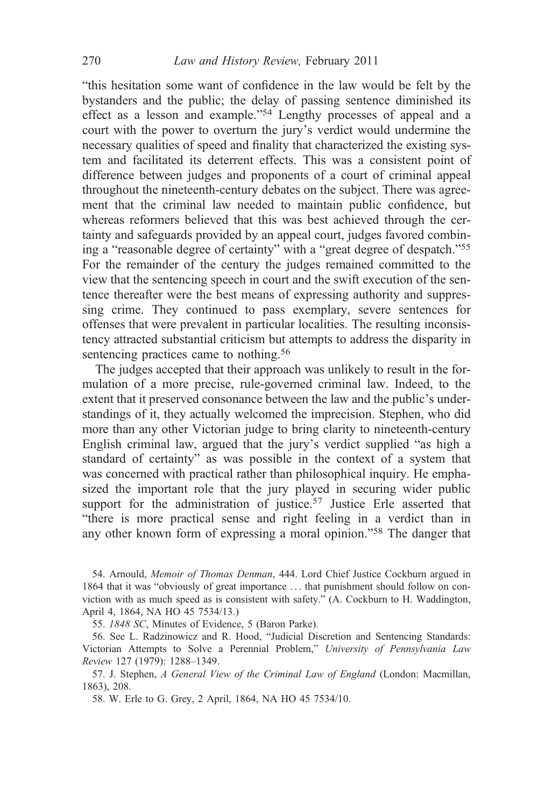"this hesitation some want of confidence in the law would be felt by the bystanders and the public; the delay of passing sentence diminished its effect as a lesson and example."<sup>54</sup> Lengthy processes of appeal and a court with the power to overturn the jury's verdict would undermine the necessary qualities of speed and finality that characterized the existing system and facilitated its deterrent effects. This was a consistent point of difference between judges and proponents of a court of criminal appeal throughout the nineteenth-century debates on the subject. There was agreement that the criminal law needed to maintain public confidence, but whereas reformers believed that this was best achieved through the certainty and safeguards provided by an appeal court, judges favored combining a "reasonable degree of certainty" with a "great degree of despatch."<sup>55</sup> For the remainder of the century the judges remained committed to the view that the sentencing speech in court and the swift execution of the sentence thereafter were the best means of expressing authority and suppressing crime. They continued to pass exemplary, severe sentences for offenses that were prevalent in particular localities. The resulting inconsistency attracted substantial criticism but attempts to address the disparity in sentencing practices came to nothing.<sup>56</sup>

The judges accepted that their approach was unlikely to result in the formulation of a more precise, rule-governed criminal law. Indeed, to the extent that it preserved consonance between the law and the public's understandings of it, they actually welcomed the imprecision. Stephen, who did more than any other Victorian judge to bring clarity to nineteenth-century English criminal law, argued that the jury's verdict supplied "as high a standard of certainty" as was possible in the context of a system that was concerned with practical rather than philosophical inquiry. He emphasized the important role that the jury played in securing wider public support for the administration of justice.<sup>57</sup> Justice Erle asserted that "there is more practical sense and right feeling in a verdict than in any other known form of expressing a moral opinion."<sup>58</sup> The danger that

54. Arnould, Memoir of Thomas Denman, 444. Lord Chief Justice Cockburn argued in 1864 that it was "obviously of great importance ... that punishment should follow on conviction with as much speed as is consistent with safety." (A. Cockburn to H. Waddington, April 4, 1864, NA HO 45 7534/13.)

55. 1848 SC, Minutes of Evidence, 5 (Baron Parke).

56. See L. Radzinowicz and R. Hood, "Judicial Discretion and Sentencing Standards: Victorian Attempts to Solve a Perennial Problem," University of Pennsylvania Law Review 127 (1979): 1288–1349.

57. J. Stephen, A General View of the Criminal Law of England (London: Macmillan, 1863), 208.

58. W. Erle to G. Grey, 2 April, 1864, NA HO 45 7534/10.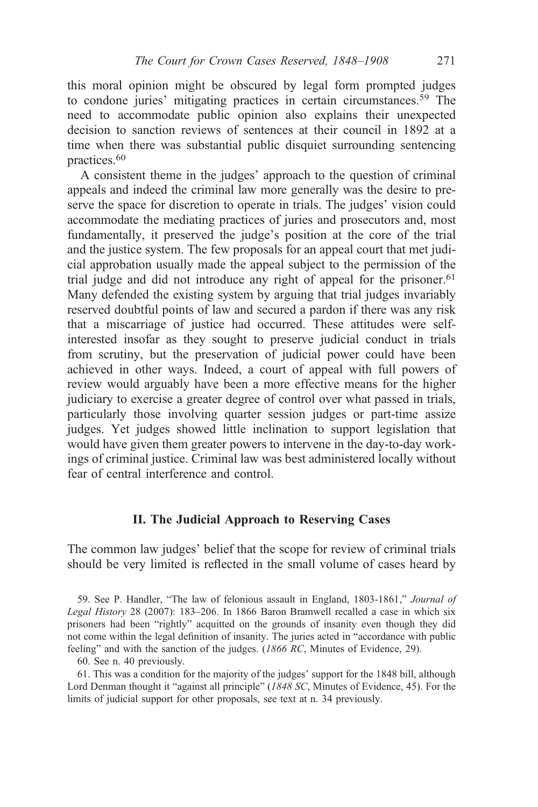this moral opinion might be obscured by legal form prompted judges to condone juries' mitigating practices in certain circumstances.59 The need to accommodate public opinion also explains their unexpected decision to sanction reviews of sentences at their council in 1892 at a time when there was substantial public disquiet surrounding sentencing practices.60

A consistent theme in the judges' approach to the question of criminal appeals and indeed the criminal law more generally was the desire to preserve the space for discretion to operate in trials. The judges' vision could accommodate the mediating practices of juries and prosecutors and, most fundamentally, it preserved the judge's position at the core of the trial and the justice system. The few proposals for an appeal court that met judicial approbation usually made the appeal subject to the permission of the trial judge and did not introduce any right of appeal for the prisoner.<sup>61</sup> Many defended the existing system by arguing that trial judges invariably reserved doubtful points of law and secured a pardon if there was any risk that a miscarriage of justice had occurred. These attitudes were selfinterested insofar as they sought to preserve judicial conduct in trials from scrutiny, but the preservation of judicial power could have been achieved in other ways. Indeed, a court of appeal with full powers of review would arguably have been a more effective means for the higher judiciary to exercise a greater degree of control over what passed in trials, particularly those involving quarter session judges or part-time assize judges. Yet judges showed little inclination to support legislation that would have given them greater powers to intervene in the day-to-day workings of criminal justice. Criminal law was best administered locally without fear of central interference and control.

## II. The Judicial Approach to Reserving Cases

The common law judges' belief that the scope for review of criminal trials should be very limited is reflected in the small volume of cases heard by

59. See P. Handler, "The law of felonious assault in England, 1803-1861," Journal of Legal History 28 (2007): 183–206. In 1866 Baron Bramwell recalled a case in which six prisoners had been "rightly" acquitted on the grounds of insanity even though they did not come within the legal definition of insanity. The juries acted in "accordance with public feeling" and with the sanction of the judges. (1866 RC, Minutes of Evidence, 29).

60. See n. 40 previously.

61. This was a condition for the majority of the judges' support for the 1848 bill, although Lord Denman thought it "against all principle" (1848 SC, Minutes of Evidence, 45). For the limits of judicial support for other proposals, see text at n. 34 previously.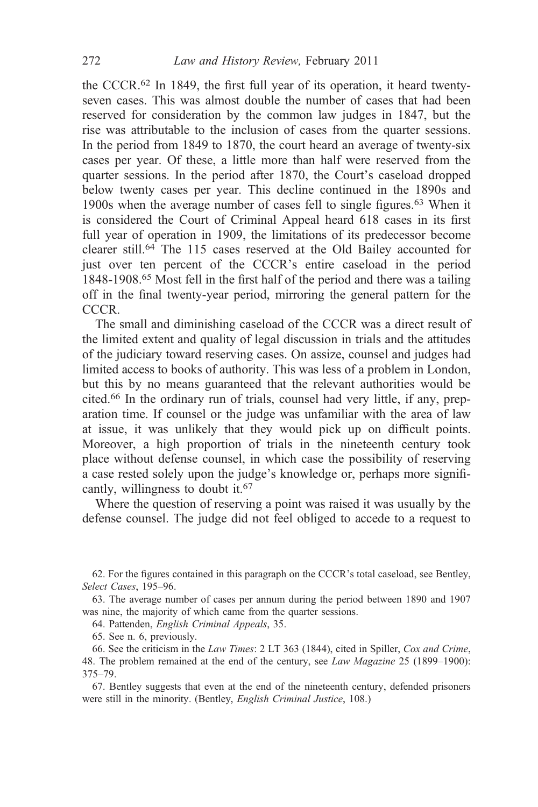the CCCR.62 In 1849, the first full year of its operation, it heard twentyseven cases. This was almost double the number of cases that had been reserved for consideration by the common law judges in 1847, but the rise was attributable to the inclusion of cases from the quarter sessions. In the period from 1849 to 1870, the court heard an average of twenty-six cases per year. Of these, a little more than half were reserved from the quarter sessions. In the period after 1870, the Court's caseload dropped below twenty cases per year. This decline continued in the 1890s and 1900s when the average number of cases fell to single figures.63 When it is considered the Court of Criminal Appeal heard 618 cases in its first full year of operation in 1909, the limitations of its predecessor become clearer still.64 The 115 cases reserved at the Old Bailey accounted for just over ten percent of the CCCR's entire caseload in the period 1848-1908.<sup>65</sup> Most fell in the first half of the period and there was a tailing off in the final twenty-year period, mirroring the general pattern for the CCCR.

The small and diminishing caseload of the CCCR was a direct result of the limited extent and quality of legal discussion in trials and the attitudes of the judiciary toward reserving cases. On assize, counsel and judges had limited access to books of authority. This was less of a problem in London, but this by no means guaranteed that the relevant authorities would be cited.<sup>66</sup> In the ordinary run of trials, counsel had very little, if any, preparation time. If counsel or the judge was unfamiliar with the area of law at issue, it was unlikely that they would pick up on difficult points. Moreover, a high proportion of trials in the nineteenth century took place without defense counsel, in which case the possibility of reserving a case rested solely upon the judge's knowledge or, perhaps more significantly, willingness to doubt it.<sup>67</sup>

Where the question of reserving a point was raised it was usually by the defense counsel. The judge did not feel obliged to accede to a request to

63. The average number of cases per annum during the period between 1890 and 1907 was nine, the majority of which came from the quarter sessions.

64. Pattenden, English Criminal Appeals, 35.

65. See n. 6, previously.

67. Bentley suggests that even at the end of the nineteenth century, defended prisoners were still in the minority. (Bentley, English Criminal Justice, 108.)

<sup>62.</sup> For the figures contained in this paragraph on the CCCR's total caseload, see Bentley, Select Cases, 195–96.

<sup>66.</sup> See the criticism in the Law Times: 2 LT 363 (1844), cited in Spiller, Cox and Crime, 48. The problem remained at the end of the century, see Law Magazine 25 (1899–1900): 375–79.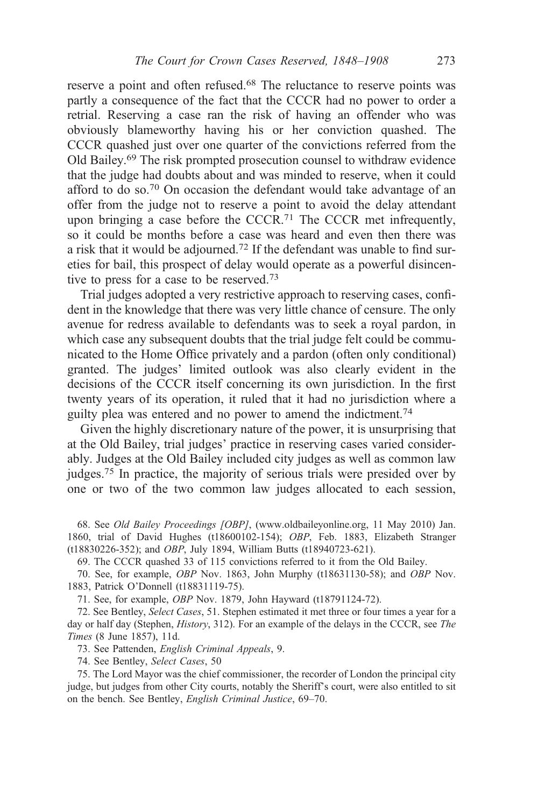reserve a point and often refused.<sup>68</sup> The reluctance to reserve points was partly a consequence of the fact that the CCCR had no power to order a retrial. Reserving a case ran the risk of having an offender who was obviously blameworthy having his or her conviction quashed. The CCCR quashed just over one quarter of the convictions referred from the Old Bailey.69 The risk prompted prosecution counsel to withdraw evidence that the judge had doubts about and was minded to reserve, when it could afford to do so.70 On occasion the defendant would take advantage of an offer from the judge not to reserve a point to avoid the delay attendant upon bringing a case before the CCCR.71 The CCCR met infrequently, so it could be months before a case was heard and even then there was a risk that it would be adjourned.72 If the defendant was unable to find sureties for bail, this prospect of delay would operate as a powerful disincentive to press for a case to be reserved.73

Trial judges adopted a very restrictive approach to reserving cases, confident in the knowledge that there was very little chance of censure. The only avenue for redress available to defendants was to seek a royal pardon, in which case any subsequent doubts that the trial judge felt could be communicated to the Home Office privately and a pardon (often only conditional) granted. The judges' limited outlook was also clearly evident in the decisions of the CCCR itself concerning its own jurisdiction. In the first twenty years of its operation, it ruled that it had no jurisdiction where a guilty plea was entered and no power to amend the indictment.74

Given the highly discretionary nature of the power, it is unsurprising that at the Old Bailey, trial judges' practice in reserving cases varied considerably. Judges at the Old Bailey included city judges as well as common law judges.75 In practice, the majority of serious trials were presided over by one or two of the two common law judges allocated to each session,

68. See Old Bailey Proceedings [OBP], (www.oldbaileyonline.org, 11 May 2010) Jan. 1860, trial of David Hughes (t18600102-154); OBP, Feb. 1883, Elizabeth Stranger (t18830226-352); and OBP, July 1894, William Butts (t18940723-621).

69. The CCCR quashed 33 of 115 convictions referred to it from the Old Bailey.

70. See, for example, OBP Nov. 1863, John Murphy (t18631130-58); and OBP Nov. 1883, Patrick O'Donnell (t18831119-75).

71. See, for example, OBP Nov. 1879, John Hayward (t18791124-72).

72. See Bentley, Select Cases, 51. Stephen estimated it met three or four times a year for a day or half day (Stephen, *History*, 312). For an example of the delays in the CCCR, see The Times (8 June 1857), 11d.

73. See Pattenden, English Criminal Appeals, 9.

74. See Bentley, Select Cases, 50

75. The Lord Mayor was the chief commissioner, the recorder of London the principal city judge, but judges from other City courts, notably the Sheriff's court, were also entitled to sit on the bench. See Bentley, English Criminal Justice, 69–70.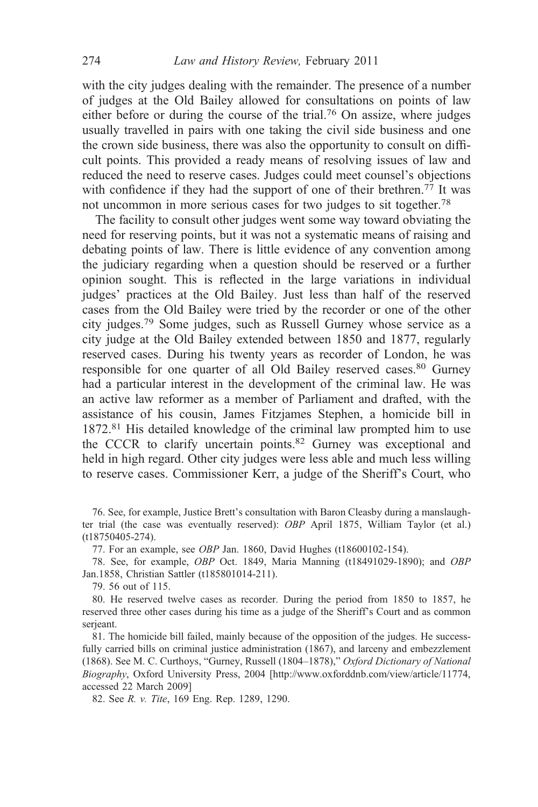with the city judges dealing with the remainder. The presence of a number of judges at the Old Bailey allowed for consultations on points of law either before or during the course of the trial.<sup>76</sup> On assize, where judges usually travelled in pairs with one taking the civil side business and one the crown side business, there was also the opportunity to consult on difficult points. This provided a ready means of resolving issues of law and reduced the need to reserve cases. Judges could meet counsel's objections with confidence if they had the support of one of their brethren.<sup>77</sup> It was not uncommon in more serious cases for two judges to sit together.78

The facility to consult other judges went some way toward obviating the need for reserving points, but it was not a systematic means of raising and debating points of law. There is little evidence of any convention among the judiciary regarding when a question should be reserved or a further opinion sought. This is reflected in the large variations in individual judges' practices at the Old Bailey. Just less than half of the reserved cases from the Old Bailey were tried by the recorder or one of the other city judges.79 Some judges, such as Russell Gurney whose service as a city judge at the Old Bailey extended between 1850 and 1877, regularly reserved cases. During his twenty years as recorder of London, he was responsible for one quarter of all Old Bailey reserved cases.<sup>80</sup> Gurney had a particular interest in the development of the criminal law. He was an active law reformer as a member of Parliament and drafted, with the assistance of his cousin, James Fitzjames Stephen, a homicide bill in 1872.81 His detailed knowledge of the criminal law prompted him to use the CCCR to clarify uncertain points.82 Gurney was exceptional and held in high regard. Other city judges were less able and much less willing to reserve cases. Commissioner Kerr, a judge of the Sheriff's Court, who

76. See, for example, Justice Brett's consultation with Baron Cleasby during a manslaughter trial (the case was eventually reserved): OBP April 1875, William Taylor (et al.) (t18750405-274).

77. For an example, see OBP Jan. 1860, David Hughes (t18600102-154).

78. See, for example, OBP Oct. 1849, Maria Manning (t18491029-1890); and OBP Jan.1858, Christian Sattler (t185801014-211).

79. 56 out of 115.

80. He reserved twelve cases as recorder. During the period from 1850 to 1857, he reserved three other cases during his time as a judge of the Sheriff's Court and as common serjeant.

81. The homicide bill failed, mainly because of the opposition of the judges. He successfully carried bills on criminal justice administration (1867), and larceny and embezzlement (1868). See M. C. Curthoys, "Gurney, Russell (1804–1878)," Oxford Dictionary of National Biography, Oxford University Press, 2004 [http://www.oxforddnb.com/view/article/11774, accessed 22 March 2009]

82. See R. v. Tite, 169 Eng. Rep. 1289, 1290.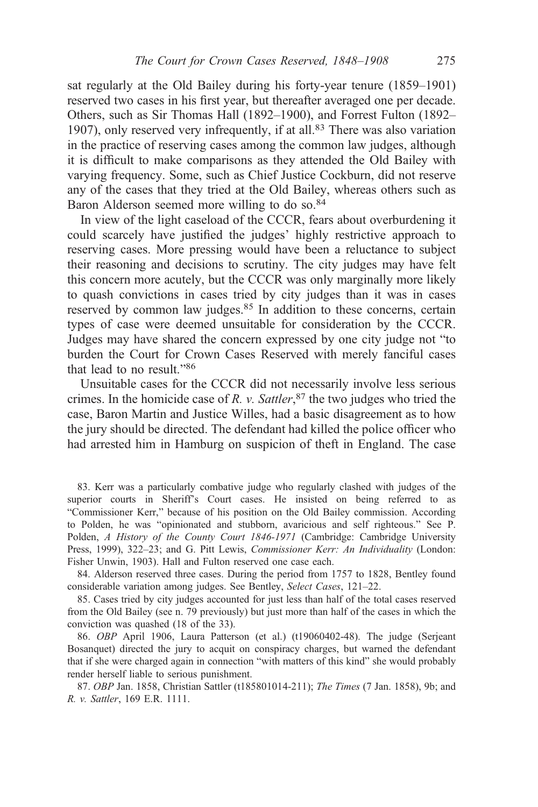sat regularly at the Old Bailey during his forty-year tenure (1859–1901) reserved two cases in his first year, but thereafter averaged one per decade. Others, such as Sir Thomas Hall (1892–1900), and Forrest Fulton (1892– 1907), only reserved very infrequently, if at all.<sup>83</sup> There was also variation in the practice of reserving cases among the common law judges, although it is difficult to make comparisons as they attended the Old Bailey with varying frequency. Some, such as Chief Justice Cockburn, did not reserve any of the cases that they tried at the Old Bailey, whereas others such as Baron Alderson seemed more willing to do so.<sup>84</sup>

In view of the light caseload of the CCCR, fears about overburdening it could scarcely have justified the judges' highly restrictive approach to reserving cases. More pressing would have been a reluctance to subject their reasoning and decisions to scrutiny. The city judges may have felt this concern more acutely, but the CCCR was only marginally more likely to quash convictions in cases tried by city judges than it was in cases reserved by common law judges.<sup>85</sup> In addition to these concerns, certain types of case were deemed unsuitable for consideration by the CCCR. Judges may have shared the concern expressed by one city judge not "to burden the Court for Crown Cases Reserved with merely fanciful cases that lead to no result."<sup>86</sup>

Unsuitable cases for the CCCR did not necessarily involve less serious crimes. In the homicide case of R. v. Sattler,  $87$  the two judges who tried the case, Baron Martin and Justice Willes, had a basic disagreement as to how the jury should be directed. The defendant had killed the police officer who had arrested him in Hamburg on suspicion of theft in England. The case

83. Kerr was a particularly combative judge who regularly clashed with judges of the superior courts in Sheriff's Court cases. He insisted on being referred to as "Commissioner Kerr," because of his position on the Old Bailey commission. According to Polden, he was "opinionated and stubborn, avaricious and self righteous." See P. Polden, A History of the County Court 1846-1971 (Cambridge: Cambridge University Press, 1999), 322-23; and G. Pitt Lewis, Commissioner Kerr: An Individuality (London: Fisher Unwin, 1903). Hall and Fulton reserved one case each.

84. Alderson reserved three cases. During the period from 1757 to 1828, Bentley found considerable variation among judges. See Bentley, Select Cases, 121–22.

85. Cases tried by city judges accounted for just less than half of the total cases reserved from the Old Bailey (see n. 79 previously) but just more than half of the cases in which the conviction was quashed (18 of the 33).

86. OBP April 1906, Laura Patterson (et al.) (t19060402-48). The judge (Serjeant Bosanquet) directed the jury to acquit on conspiracy charges, but warned the defendant that if she were charged again in connection "with matters of this kind" she would probably render herself liable to serious punishment.

87. OBP Jan. 1858, Christian Sattler (t185801014-211); The Times (7 Jan. 1858), 9b; and R. v. Sattler, 169 E.R. 1111.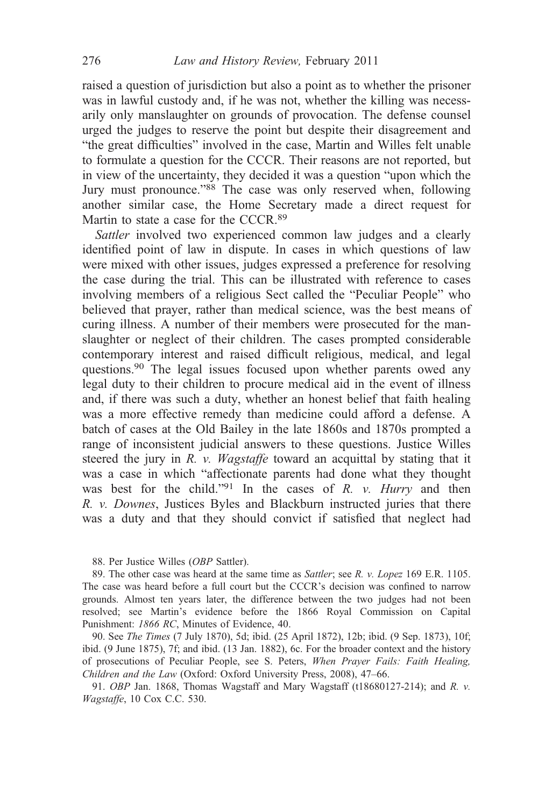raised a question of jurisdiction but also a point as to whether the prisoner was in lawful custody and, if he was not, whether the killing was necessarily only manslaughter on grounds of provocation. The defense counsel urged the judges to reserve the point but despite their disagreement and "the great difficulties" involved in the case, Martin and Willes felt unable to formulate a question for the CCCR. Their reasons are not reported, but in view of the uncertainty, they decided it was a question "upon which the Jury must pronounce."<sup>88</sup> The case was only reserved when, following another similar case, the Home Secretary made a direct request for Martin to state a case for the CCCR.<sup>89</sup>

Sattler involved two experienced common law judges and a clearly identified point of law in dispute. In cases in which questions of law were mixed with other issues, judges expressed a preference for resolving the case during the trial. This can be illustrated with reference to cases involving members of a religious Sect called the "Peculiar People" who believed that prayer, rather than medical science, was the best means of curing illness. A number of their members were prosecuted for the manslaughter or neglect of their children. The cases prompted considerable contemporary interest and raised difficult religious, medical, and legal questions.90 The legal issues focused upon whether parents owed any legal duty to their children to procure medical aid in the event of illness and, if there was such a duty, whether an honest belief that faith healing was a more effective remedy than medicine could afford a defense. A batch of cases at the Old Bailey in the late 1860s and 1870s prompted a range of inconsistent judicial answers to these questions. Justice Willes steered the jury in R. v. *Wagstaffe* toward an acquittal by stating that it was a case in which "affectionate parents had done what they thought was best for the child."<sup>91</sup> In the cases of R. v. Hurry and then R. v. Downes, Justices Byles and Blackburn instructed juries that there was a duty and that they should convict if satisfied that neglect had

88. Per Justice Willes (OBP Sattler).

89. The other case was heard at the same time as *Sattler*; see R. v. Lopez 169 E.R. 1105. The case was heard before a full court but the CCCR's decision was confined to narrow grounds. Almost ten years later, the difference between the two judges had not been resolved; see Martin's evidence before the 1866 Royal Commission on Capital Punishment: 1866 RC, Minutes of Evidence, 40.

90. See The Times (7 July 1870), 5d; ibid. (25 April 1872), 12b; ibid. (9 Sep. 1873), 10f; ibid. (9 June 1875), 7f; and ibid. (13 Jan. 1882), 6c. For the broader context and the history of prosecutions of Peculiar People, see S. Peters, When Prayer Fails: Faith Healing, Children and the Law (Oxford: Oxford University Press, 2008), 47–66.

91. OBP Jan. 1868, Thomas Wagstaff and Mary Wagstaff (t18680127-214); and R. v. Wagstaffe, 10 Cox C.C. 530.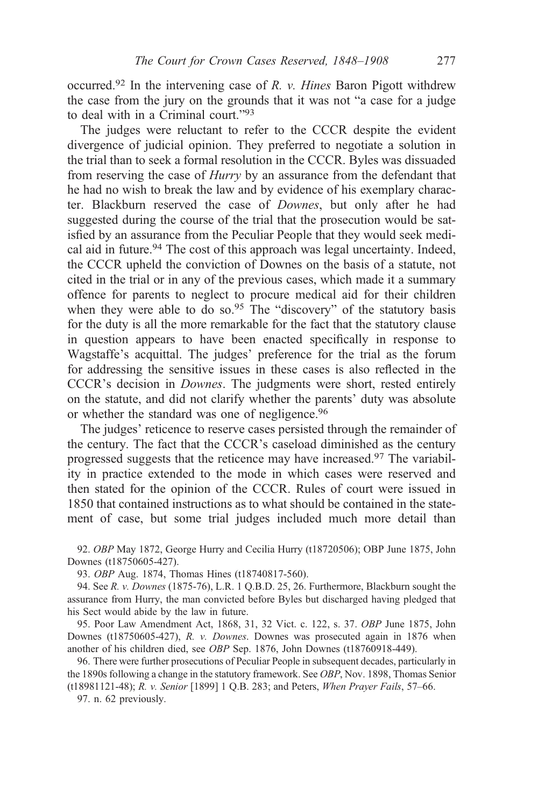occurred.<sup>92</sup> In the intervening case of R. v. Hines Baron Pigott withdrew the case from the jury on the grounds that it was not "a case for a judge to deal with in a Criminal court."<sup>93</sup>

The judges were reluctant to refer to the CCCR despite the evident divergence of judicial opinion. They preferred to negotiate a solution in the trial than to seek a formal resolution in the CCCR. Byles was dissuaded from reserving the case of Hurry by an assurance from the defendant that he had no wish to break the law and by evidence of his exemplary character. Blackburn reserved the case of Downes, but only after he had suggested during the course of the trial that the prosecution would be satisfied by an assurance from the Peculiar People that they would seek medical aid in future.<sup>94</sup> The cost of this approach was legal uncertainty. Indeed, the CCCR upheld the conviction of Downes on the basis of a statute, not cited in the trial or in any of the previous cases, which made it a summary offence for parents to neglect to procure medical aid for their children when they were able to do so. $95$  The "discovery" of the statutory basis for the duty is all the more remarkable for the fact that the statutory clause in question appears to have been enacted specifically in response to Wagstaffe's acquittal. The judges' preference for the trial as the forum for addressing the sensitive issues in these cases is also reflected in the CCCR's decision in Downes. The judgments were short, rested entirely on the statute, and did not clarify whether the parents' duty was absolute or whether the standard was one of negligence.<sup>96</sup>

The judges' reticence to reserve cases persisted through the remainder of the century. The fact that the CCCR's caseload diminished as the century progressed suggests that the reticence may have increased.<sup>97</sup> The variability in practice extended to the mode in which cases were reserved and then stated for the opinion of the CCCR. Rules of court were issued in 1850 that contained instructions as to what should be contained in the statement of case, but some trial judges included much more detail than

92. OBP May 1872, George Hurry and Cecilia Hurry (t18720506); OBP June 1875, John Downes (t18750605-427).

93. OBP Aug. 1874, Thomas Hines (t18740817-560).

94. See R. v. Downes (1875-76), L.R. 1 Q.B.D. 25, 26. Furthermore, Blackburn sought the assurance from Hurry, the man convicted before Byles but discharged having pledged that his Sect would abide by the law in future.

95. Poor Law Amendment Act, 1868, 31, 32 Vict. c. 122, s. 37. OBP June 1875, John Downes (t18750605-427), R. v. Downes. Downes was prosecuted again in 1876 when another of his children died, see OBP Sep. 1876, John Downes (t18760918-449).

96. There were further prosecutions of Peculiar People in subsequent decades, particularly in the 1890s following a change in the statutory framework. See OBP, Nov. 1898, Thomas Senior (t18981121-48); R. v. Senior [1899] 1 Q.B. 283; and Peters, When Prayer Fails, 57–66.

97. n. 62 previously.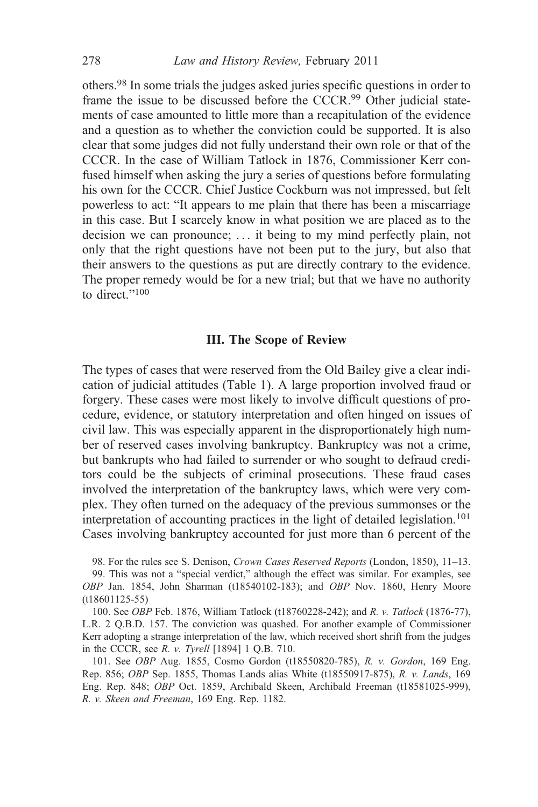others.98 In some trials the judges asked juries specific questions in order to frame the issue to be discussed before the CCCR.<sup>99</sup> Other judicial statements of case amounted to little more than a recapitulation of the evidence and a question as to whether the conviction could be supported. It is also clear that some judges did not fully understand their own role or that of the CCCR. In the case of William Tatlock in 1876, Commissioner Kerr confused himself when asking the jury a series of questions before formulating his own for the CCCR. Chief Justice Cockburn was not impressed, but felt powerless to act: "It appears to me plain that there has been a miscarriage in this case. But I scarcely know in what position we are placed as to the decision we can pronounce; ... it being to my mind perfectly plain, not only that the right questions have not been put to the jury, but also that their answers to the questions as put are directly contrary to the evidence. The proper remedy would be for a new trial; but that we have no authority to direct."<sup>100</sup>

## III. The Scope of Review

The types of cases that were reserved from the Old Bailey give a clear indication of judicial attitudes (Table 1). A large proportion involved fraud or forgery. These cases were most likely to involve difficult questions of procedure, evidence, or statutory interpretation and often hinged on issues of civil law. This was especially apparent in the disproportionately high number of reserved cases involving bankruptcy. Bankruptcy was not a crime, but bankrupts who had failed to surrender or who sought to defraud creditors could be the subjects of criminal prosecutions. These fraud cases involved the interpretation of the bankruptcy laws, which were very complex. They often turned on the adequacy of the previous summonses or the interpretation of accounting practices in the light of detailed legislation.101 Cases involving bankruptcy accounted for just more than 6 percent of the

98. For the rules see S. Denison, Crown Cases Reserved Reports (London, 1850), 11–13.

99. This was not a "special verdict," although the effect was similar. For examples, see OBP Jan. 1854, John Sharman (t18540102-183); and OBP Nov. 1860, Henry Moore (t18601125-55)

100. See OBP Feb. 1876, William Tatlock (t18760228-242); and R. v. Tatlock (1876-77), L.R. 2 Q.B.D. 157. The conviction was quashed. For another example of Commissioner Kerr adopting a strange interpretation of the law, which received short shrift from the judges in the CCCR, see R. v. Tyrell [1894] 1 Q.B. 710.

101. See OBP Aug. 1855, Cosmo Gordon (t18550820-785), R. v. Gordon, 169 Eng. Rep. 856; OBP Sep. 1855, Thomas Lands alias White (t18550917-875), R. v. Lands, 169 Eng. Rep. 848; OBP Oct. 1859, Archibald Skeen, Archibald Freeman (t18581025-999), R. v. Skeen and Freeman, 169 Eng. Rep. 1182.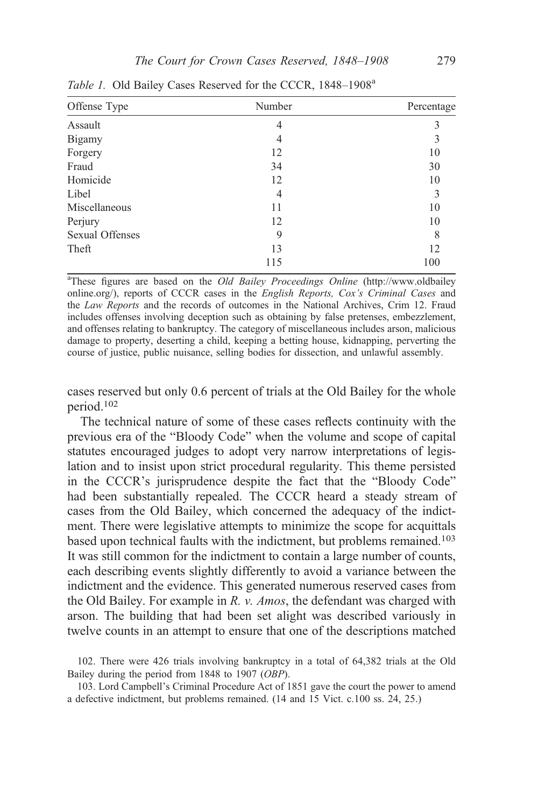| Offense Type    | Number | Percentage |
|-----------------|--------|------------|
| Assault         | 4      |            |
| Bigamy          | 4      |            |
| Forgery         | 12     | 10         |
| Fraud           | 34     | 30         |
| Homicide        | 12     | 10         |
| Libel           | 4      |            |
| Miscellaneous   | 11     | 10         |
| Perjury         | 12     | 10         |
| Sexual Offenses | 9      | 8          |
| Theft           | 13     | 12         |
|                 | 115    | 100        |

Table 1. Old Bailey Cases Reserved for the CCCR, 1848-1908<sup>a</sup>

<sup>a</sup>These figures are based on the Old Bailey Proceedings Online (http://www.oldbailey online.org/), reports of CCCR cases in the English Reports, Cox's Criminal Cases and the Law Reports and the records of outcomes in the National Archives, Crim 12. Fraud includes offenses involving deception such as obtaining by false pretenses, embezzlement, and offenses relating to bankruptcy. The category of miscellaneous includes arson, malicious damage to property, deserting a child, keeping a betting house, kidnapping, perverting the course of justice, public nuisance, selling bodies for dissection, and unlawful assembly.

cases reserved but only 0.6 percent of trials at the Old Bailey for the whole period.102

The technical nature of some of these cases reflects continuity with the previous era of the "Bloody Code" when the volume and scope of capital statutes encouraged judges to adopt very narrow interpretations of legislation and to insist upon strict procedural regularity. This theme persisted in the CCCR's jurisprudence despite the fact that the "Bloody Code" had been substantially repealed. The CCCR heard a steady stream of cases from the Old Bailey, which concerned the adequacy of the indictment. There were legislative attempts to minimize the scope for acquittals based upon technical faults with the indictment, but problems remained.<sup>103</sup> It was still common for the indictment to contain a large number of counts, each describing events slightly differently to avoid a variance between the indictment and the evidence. This generated numerous reserved cases from the Old Bailey. For example in R. v. Amos, the defendant was charged with arson. The building that had been set alight was described variously in twelve counts in an attempt to ensure that one of the descriptions matched

102. There were 426 trials involving bankruptcy in a total of 64,382 trials at the Old Bailey during the period from 1848 to 1907 (OBP).

103. Lord Campbell's Criminal Procedure Act of 1851 gave the court the power to amend a defective indictment, but problems remained. (14 and 15 Vict. c.100 ss. 24, 25.)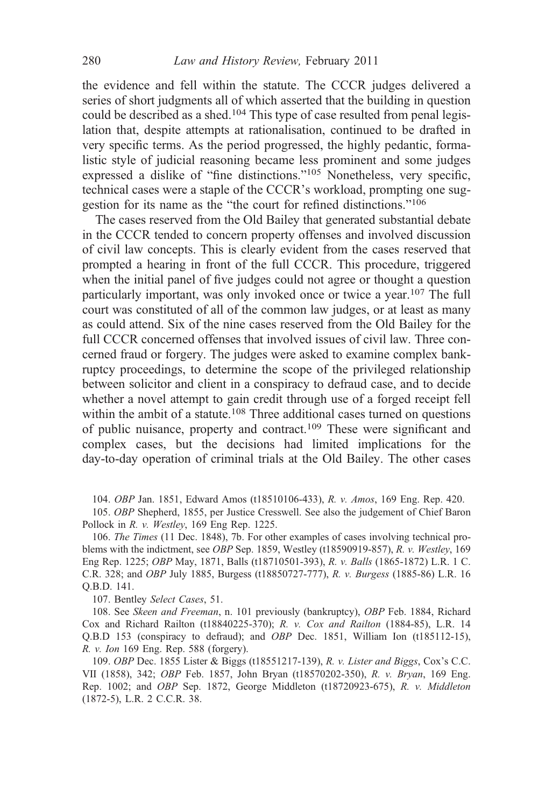the evidence and fell within the statute. The CCCR judges delivered a series of short judgments all of which asserted that the building in question could be described as a shed.<sup>104</sup> This type of case resulted from penal legislation that, despite attempts at rationalisation, continued to be drafted in very specific terms. As the period progressed, the highly pedantic, formalistic style of judicial reasoning became less prominent and some judges expressed a dislike of "fine distinctions."<sup>105</sup> Nonetheless, very specific, technical cases were a staple of the CCCR's workload, prompting one suggestion for its name as the "the court for refined distinctions."<sup>106</sup>

The cases reserved from the Old Bailey that generated substantial debate in the CCCR tended to concern property offenses and involved discussion of civil law concepts. This is clearly evident from the cases reserved that prompted a hearing in front of the full CCCR. This procedure, triggered when the initial panel of five judges could not agree or thought a question particularly important, was only invoked once or twice a year.107 The full court was constituted of all of the common law judges, or at least as many as could attend. Six of the nine cases reserved from the Old Bailey for the full CCCR concerned offenses that involved issues of civil law. Three concerned fraud or forgery. The judges were asked to examine complex bankruptcy proceedings, to determine the scope of the privileged relationship between solicitor and client in a conspiracy to defraud case, and to decide whether a novel attempt to gain credit through use of a forged receipt fell within the ambit of a statute.<sup>108</sup> Three additional cases turned on questions of public nuisance, property and contract.109 These were significant and complex cases, but the decisions had limited implications for the day-to-day operation of criminal trials at the Old Bailey. The other cases

104. OBP Jan. 1851, Edward Amos (t18510106-433), R. v. Amos, 169 Eng. Rep. 420.

105. OBP Shepherd, 1855, per Justice Cresswell. See also the judgement of Chief Baron Pollock in R. v. Westley, 169 Eng Rep. 1225.

106. The Times (11 Dec. 1848), 7b. For other examples of cases involving technical problems with the indictment, see OBP Sep. 1859, Westley (t18590919-857), R. v. Westley, 169 Eng Rep. 1225; OBP May, 1871, Balls (t18710501-393), R. v. Balls (1865-1872) L.R. 1 C. C.R. 328; and OBP July 1885, Burgess (t18850727-777), R. v. Burgess (1885-86) L.R. 16 Q.B.D. 141.

107. Bentley Select Cases, 51.

108. See Skeen and Freeman, n. 101 previously (bankruptcy), OBP Feb. 1884, Richard Cox and Richard Railton (t18840225-370); R. v. Cox and Railton (1884-85), L.R. 14 Q.B.D 153 (conspiracy to defraud); and OBP Dec. 1851, William Ion (t185112-15), R. v. Ion 169 Eng. Rep. 588 (forgery).

109. OBP Dec. 1855 Lister & Biggs (t18551217-139), R. v. Lister and Biggs, Cox's C.C. VII (1858), 342; OBP Feb. 1857, John Bryan (t18570202-350), R. v. Bryan, 169 Eng. Rep. 1002; and OBP Sep. 1872, George Middleton (t18720923-675), R. v. Middleton (1872-5), L.R. 2 C.C.R. 38.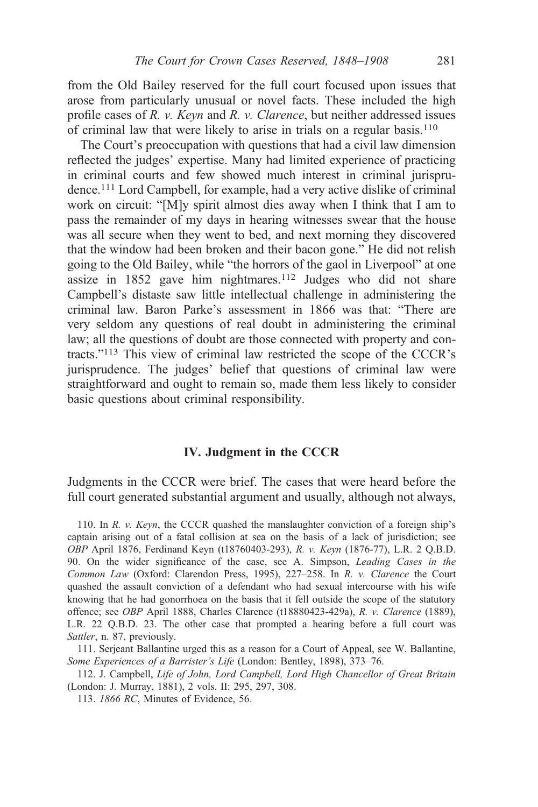from the Old Bailey reserved for the full court focused upon issues that arose from particularly unusual or novel facts. These included the high profile cases of  $R$ .  $v$ . Keyn and  $R$ .  $v$ . Clarence, but neither addressed issues of criminal law that were likely to arise in trials on a regular basis.110

The Court's preoccupation with questions that had a civil law dimension reflected the judges' expertise. Many had limited experience of practicing in criminal courts and few showed much interest in criminal jurisprudence.111 Lord Campbell, for example, had a very active dislike of criminal work on circuit: "[M]y spirit almost dies away when I think that I am to pass the remainder of my days in hearing witnesses swear that the house was all secure when they went to bed, and next morning they discovered that the window had been broken and their bacon gone." He did not relish going to the Old Bailey, while "the horrors of the gaol in Liverpool" at one assize in 1852 gave him nightmares.<sup>112</sup> Judges who did not share Campbell's distaste saw little intellectual challenge in administering the criminal law. Baron Parke's assessment in 1866 was that: "There are very seldom any questions of real doubt in administering the criminal law; all the questions of doubt are those connected with property and contracts."<sup>113</sup> This view of criminal law restricted the scope of the CCCR's jurisprudence. The judges' belief that questions of criminal law were straightforward and ought to remain so, made them less likely to consider basic questions about criminal responsibility.

### IV. Judgment in the CCCR

Judgments in the CCCR were brief. The cases that were heard before the full court generated substantial argument and usually, although not always,

110. In R. v. Keyn, the CCCR quashed the manslaughter conviction of a foreign ship's captain arising out of a fatal collision at sea on the basis of a lack of jurisdiction; see OBP April 1876, Ferdinand Keyn (t18760403-293), R. v. Keyn (1876-77), L.R. 2 Q.B.D. 90. On the wider significance of the case, see A. Simpson, Leading Cases in the Common Law (Oxford: Clarendon Press, 1995), 227–258. In R. v. Clarence the Court quashed the assault conviction of a defendant who had sexual intercourse with his wife knowing that he had gonorrhoea on the basis that it fell outside the scope of the statutory offence; see OBP April 1888, Charles Clarence (t18880423-429a), R. v. Clarence (1889), L.R. 22 Q.B.D. 23. The other case that prompted a hearing before a full court was Sattler, n. 87, previously.

111. Serjeant Ballantine urged this as a reason for a Court of Appeal, see W. Ballantine, Some Experiences of a Barrister's Life (London: Bentley, 1898), 373–76.

112. J. Campbell, Life of John, Lord Campbell, Lord High Chancellor of Great Britain (London: J. Murray, 1881), 2 vols. II: 295, 297, 308.

113. 1866 RC, Minutes of Evidence, 56.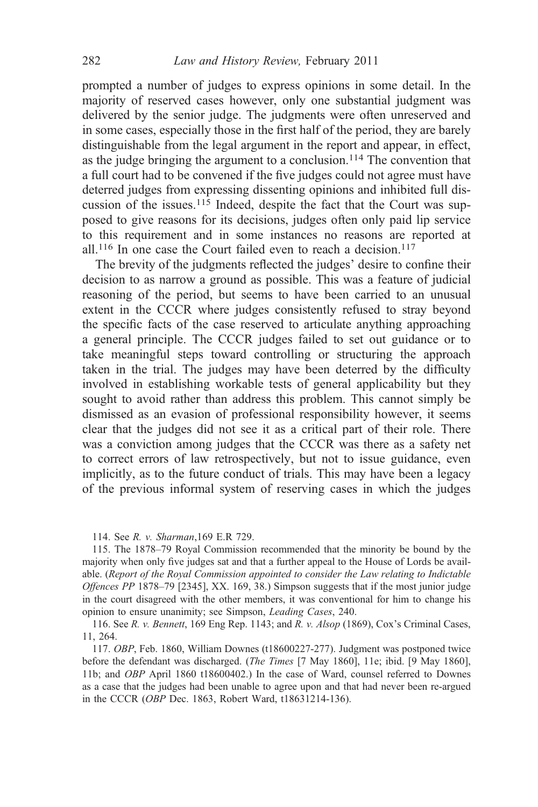prompted a number of judges to express opinions in some detail. In the majority of reserved cases however, only one substantial judgment was delivered by the senior judge. The judgments were often unreserved and in some cases, especially those in the first half of the period, they are barely distinguishable from the legal argument in the report and appear, in effect, as the judge bringing the argument to a conclusion.<sup>114</sup> The convention that a full court had to be convened if the five judges could not agree must have deterred judges from expressing dissenting opinions and inhibited full discussion of the issues.<sup>115</sup> Indeed, despite the fact that the Court was supposed to give reasons for its decisions, judges often only paid lip service to this requirement and in some instances no reasons are reported at all.<sup>116</sup> In one case the Court failed even to reach a decision.<sup>117</sup>

The brevity of the judgments reflected the judges' desire to confine their decision to as narrow a ground as possible. This was a feature of judicial reasoning of the period, but seems to have been carried to an unusual extent in the CCCR where judges consistently refused to stray beyond the specific facts of the case reserved to articulate anything approaching a general principle. The CCCR judges failed to set out guidance or to take meaningful steps toward controlling or structuring the approach taken in the trial. The judges may have been deterred by the difficulty involved in establishing workable tests of general applicability but they sought to avoid rather than address this problem. This cannot simply be dismissed as an evasion of professional responsibility however, it seems clear that the judges did not see it as a critical part of their role. There was a conviction among judges that the CCCR was there as a safety net to correct errors of law retrospectively, but not to issue guidance, even implicitly, as to the future conduct of trials. This may have been a legacy of the previous informal system of reserving cases in which the judges

114. See R. v. Sharman,169 E.R 729.

115. The 1878–79 Royal Commission recommended that the minority be bound by the majority when only five judges sat and that a further appeal to the House of Lords be available. (Report of the Royal Commission appointed to consider the Law relating to Indictable Offences PP 1878–79 [2345], XX. 169, 38.) Simpson suggests that if the most junior judge in the court disagreed with the other members, it was conventional for him to change his opinion to ensure unanimity; see Simpson, Leading Cases, 240.

116. See R. v. Bennett, 169 Eng Rep. 1143; and R. v. Alsop (1869), Cox's Criminal Cases, 11, 264.

117. OBP, Feb. 1860, William Downes (t18600227-277). Judgment was postponed twice before the defendant was discharged. (The Times [7 May 1860], 11e; ibid. [9 May 1860], 11b; and OBP April 1860 t18600402.) In the case of Ward, counsel referred to Downes as a case that the judges had been unable to agree upon and that had never been re-argued in the CCCR (OBP Dec. 1863, Robert Ward, t18631214-136).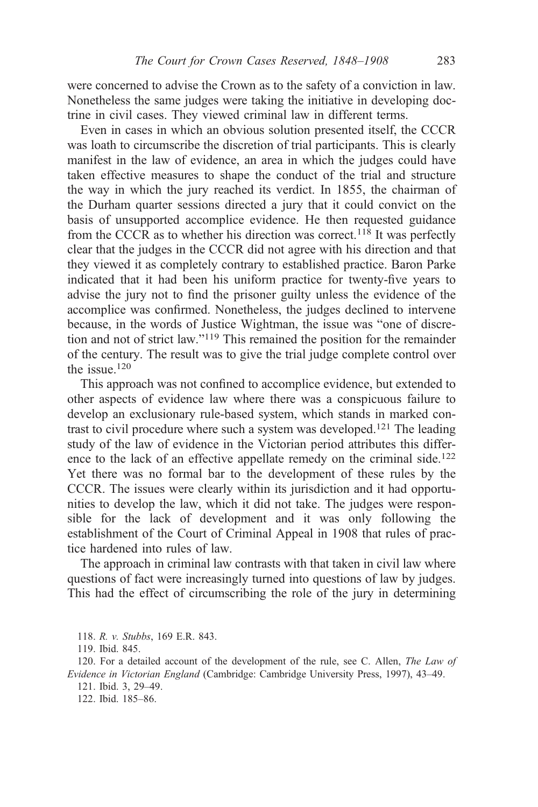were concerned to advise the Crown as to the safety of a conviction in law. Nonetheless the same judges were taking the initiative in developing doctrine in civil cases. They viewed criminal law in different terms.

Even in cases in which an obvious solution presented itself, the CCCR was loath to circumscribe the discretion of trial participants. This is clearly manifest in the law of evidence, an area in which the judges could have taken effective measures to shape the conduct of the trial and structure the way in which the jury reached its verdict. In 1855, the chairman of the Durham quarter sessions directed a jury that it could convict on the basis of unsupported accomplice evidence. He then requested guidance from the CCCR as to whether his direction was correct.<sup>118</sup> It was perfectly clear that the judges in the CCCR did not agree with his direction and that they viewed it as completely contrary to established practice. Baron Parke indicated that it had been his uniform practice for twenty-five years to advise the jury not to find the prisoner guilty unless the evidence of the accomplice was confirmed. Nonetheless, the judges declined to intervene because, in the words of Justice Wightman, the issue was "one of discretion and not of strict law."<sup>119</sup> This remained the position for the remainder of the century. The result was to give the trial judge complete control over the issue. $120$ 

This approach was not confined to accomplice evidence, but extended to other aspects of evidence law where there was a conspicuous failure to develop an exclusionary rule-based system, which stands in marked contrast to civil procedure where such a system was developed.121 The leading study of the law of evidence in the Victorian period attributes this difference to the lack of an effective appellate remedy on the criminal side.<sup>122</sup> Yet there was no formal bar to the development of these rules by the CCCR. The issues were clearly within its jurisdiction and it had opportunities to develop the law, which it did not take. The judges were responsible for the lack of development and it was only following the establishment of the Court of Criminal Appeal in 1908 that rules of practice hardened into rules of law.

The approach in criminal law contrasts with that taken in civil law where questions of fact were increasingly turned into questions of law by judges. This had the effect of circumscribing the role of the jury in determining

118. R. v. Stubbs, 169 E.R. 843.

119. Ibid. 845.

120. For a detailed account of the development of the rule, see C. Allen, The Law of Evidence in Victorian England (Cambridge: Cambridge University Press, 1997), 43–49.

121. Ibid. 3, 29–49.

122. Ibid. 185–86.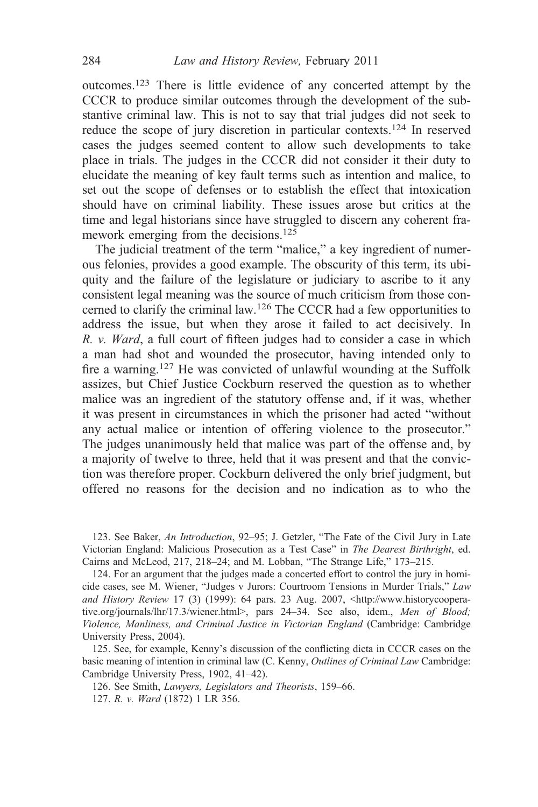outcomes.123 There is little evidence of any concerted attempt by the CCCR to produce similar outcomes through the development of the substantive criminal law. This is not to say that trial judges did not seek to reduce the scope of jury discretion in particular contexts.124 In reserved cases the judges seemed content to allow such developments to take place in trials. The judges in the CCCR did not consider it their duty to elucidate the meaning of key fault terms such as intention and malice, to set out the scope of defenses or to establish the effect that intoxication should have on criminal liability. These issues arose but critics at the time and legal historians since have struggled to discern any coherent framework emerging from the decisions.<sup>125</sup>

The judicial treatment of the term "malice," a key ingredient of numerous felonies, provides a good example. The obscurity of this term, its ubiquity and the failure of the legislature or judiciary to ascribe to it any consistent legal meaning was the source of much criticism from those concerned to clarify the criminal law.<sup>126</sup> The CCCR had a few opportunities to address the issue, but when they arose it failed to act decisively. In R. v. Ward, a full court of fifteen judges had to consider a case in which a man had shot and wounded the prosecutor, having intended only to fire a warning.<sup>127</sup> He was convicted of unlawful wounding at the Suffolk assizes, but Chief Justice Cockburn reserved the question as to whether malice was an ingredient of the statutory offense and, if it was, whether it was present in circumstances in which the prisoner had acted "without any actual malice or intention of offering violence to the prosecutor." The judges unanimously held that malice was part of the offense and, by a majority of twelve to three, held that it was present and that the conviction was therefore proper. Cockburn delivered the only brief judgment, but offered no reasons for the decision and no indication as to who the

123. See Baker, An Introduction, 92–95; J. Getzler, "The Fate of the Civil Jury in Late Victorian England: Malicious Prosecution as a Test Case" in The Dearest Birthright, ed. Cairns and McLeod, 217, 218–24; and M. Lobban, "The Strange Life," 173–215.

124. For an argument that the judges made a concerted effort to control the jury in homicide cases, see M. Wiener, "Judges v Jurors: Courtroom Tensions in Murder Trials," Law and History Review 17 (3) (1999): 64 pars. 23 Aug. 2007, <http://www.historycooperative.org/journals/lhr/17.3/wiener.html>, pars 24–34. See also, idem., Men of Blood; Violence, Manliness, and Criminal Justice in Victorian England (Cambridge: Cambridge University Press, 2004).

125. See, for example, Kenny's discussion of the conflicting dicta in CCCR cases on the basic meaning of intention in criminal law (C. Kenny, Outlines of Criminal Law Cambridge: Cambridge University Press, 1902, 41–42).

126. See Smith, Lawyers, Legislators and Theorists, 159–66. 127. R. v. Ward (1872) 1 LR 356.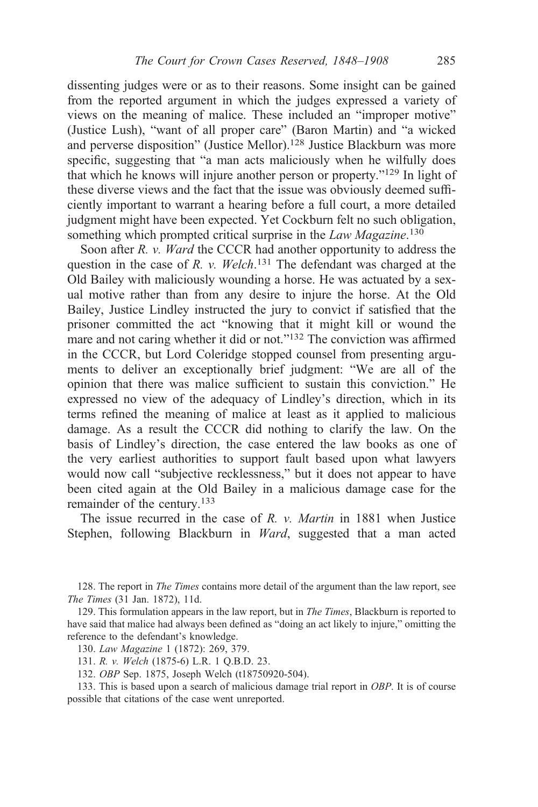dissenting judges were or as to their reasons. Some insight can be gained from the reported argument in which the judges expressed a variety of views on the meaning of malice. These included an "improper motive" (Justice Lush), "want of all proper care" (Baron Martin) and "a wicked and perverse disposition" (Justice Mellor).<sup>128</sup> Justice Blackburn was more specific, suggesting that "a man acts maliciously when he wilfully does that which he knows will injure another person or property."<sup>129</sup> In light of these diverse views and the fact that the issue was obviously deemed sufficiently important to warrant a hearing before a full court, a more detailed judgment might have been expected. Yet Cockburn felt no such obligation, something which prompted critical surprise in the Law Magazine.<sup>130</sup>

Soon after R, v. *Ward* the CCCR had another opportunity to address the question in the case of R. v. Welch.<sup>131</sup> The defendant was charged at the Old Bailey with maliciously wounding a horse. He was actuated by a sexual motive rather than from any desire to injure the horse. At the Old Bailey, Justice Lindley instructed the jury to convict if satisfied that the prisoner committed the act "knowing that it might kill or wound the mare and not caring whether it did or not."<sup>132</sup> The conviction was affirmed in the CCCR, but Lord Coleridge stopped counsel from presenting arguments to deliver an exceptionally brief judgment: "We are all of the opinion that there was malice sufficient to sustain this conviction." He expressed no view of the adequacy of Lindley's direction, which in its terms refined the meaning of malice at least as it applied to malicious damage. As a result the CCCR did nothing to clarify the law. On the basis of Lindley's direction, the case entered the law books as one of the very earliest authorities to support fault based upon what lawyers would now call "subjective recklessness," but it does not appear to have been cited again at the Old Bailey in a malicious damage case for the remainder of the century.<sup>133</sup>

The issue recurred in the case of R. v. Martin in 1881 when Justice Stephen, following Blackburn in Ward, suggested that a man acted

<sup>128.</sup> The report in The Times contains more detail of the argument than the law report, see The Times (31 Jan. 1872), 11d.

<sup>129.</sup> This formulation appears in the law report, but in The Times, Blackburn is reported to have said that malice had always been defined as "doing an act likely to injure," omitting the reference to the defendant's knowledge.

<sup>130.</sup> Law Magazine 1 (1872): 269, 379.

<sup>131.</sup> R. v. Welch (1875-6) L.R. 1 Q.B.D. 23.

<sup>132.</sup> OBP Sep. 1875, Joseph Welch (t18750920-504).

<sup>133.</sup> This is based upon a search of malicious damage trial report in OBP. It is of course possible that citations of the case went unreported.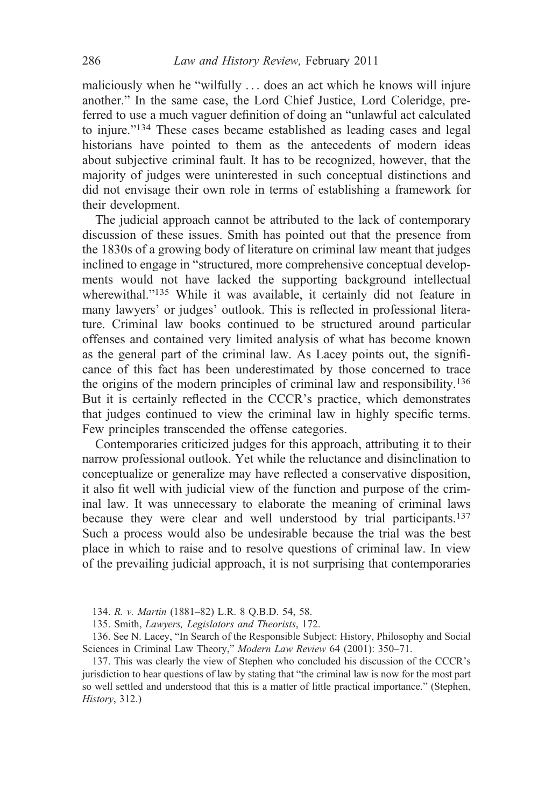maliciously when he "wilfully ... does an act which he knows will injure another." In the same case, the Lord Chief Justice, Lord Coleridge, preferred to use a much vaguer definition of doing an "unlawful act calculated to injure."<sup>134</sup> These cases became established as leading cases and legal historians have pointed to them as the antecedents of modern ideas about subjective criminal fault. It has to be recognized, however, that the majority of judges were uninterested in such conceptual distinctions and did not envisage their own role in terms of establishing a framework for their development.

The judicial approach cannot be attributed to the lack of contemporary discussion of these issues. Smith has pointed out that the presence from the 1830s of a growing body of literature on criminal law meant that judges inclined to engage in "structured, more comprehensive conceptual developments would not have lacked the supporting background intellectual wherewithal."<sup>135</sup> While it was available, it certainly did not feature in many lawyers' or judges' outlook. This is reflected in professional literature. Criminal law books continued to be structured around particular offenses and contained very limited analysis of what has become known as the general part of the criminal law. As Lacey points out, the significance of this fact has been underestimated by those concerned to trace the origins of the modern principles of criminal law and responsibility.136 But it is certainly reflected in the CCCR's practice, which demonstrates that judges continued to view the criminal law in highly specific terms. Few principles transcended the offense categories.

Contemporaries criticized judges for this approach, attributing it to their narrow professional outlook. Yet while the reluctance and disinclination to conceptualize or generalize may have reflected a conservative disposition, it also fit well with judicial view of the function and purpose of the criminal law. It was unnecessary to elaborate the meaning of criminal laws because they were clear and well understood by trial participants.<sup>137</sup> Such a process would also be undesirable because the trial was the best place in which to raise and to resolve questions of criminal law. In view of the prevailing judicial approach, it is not surprising that contemporaries

136. See N. Lacey, "In Search of the Responsible Subject: History, Philosophy and Social Sciences in Criminal Law Theory," Modern Law Review 64 (2001): 350–71.

137. This was clearly the view of Stephen who concluded his discussion of the CCCR's jurisdiction to hear questions of law by stating that "the criminal law is now for the most part so well settled and understood that this is a matter of little practical importance." (Stephen, History, 312.)

<sup>134.</sup> R. v. Martin (1881–82) L.R. 8 Q.B.D. 54, 58.

<sup>135.</sup> Smith, Lawyers, Legislators and Theorists, 172.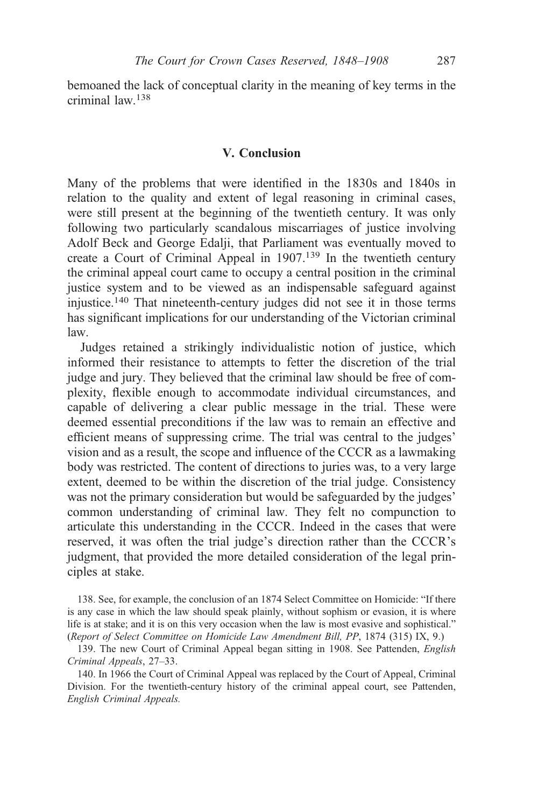bemoaned the lack of conceptual clarity in the meaning of key terms in the criminal law.<sup>138</sup>

#### V. Conclusion

Many of the problems that were identified in the 1830s and 1840s in relation to the quality and extent of legal reasoning in criminal cases, were still present at the beginning of the twentieth century. It was only following two particularly scandalous miscarriages of justice involving Adolf Beck and George Edalji, that Parliament was eventually moved to create a Court of Criminal Appeal in 1907.139 In the twentieth century the criminal appeal court came to occupy a central position in the criminal justice system and to be viewed as an indispensable safeguard against injustice.140 That nineteenth-century judges did not see it in those terms has significant implications for our understanding of the Victorian criminal law.

Judges retained a strikingly individualistic notion of justice, which informed their resistance to attempts to fetter the discretion of the trial judge and jury. They believed that the criminal law should be free of complexity, flexible enough to accommodate individual circumstances, and capable of delivering a clear public message in the trial. These were deemed essential preconditions if the law was to remain an effective and efficient means of suppressing crime. The trial was central to the judges' vision and as a result, the scope and influence of the CCCR as a lawmaking body was restricted. The content of directions to juries was, to a very large extent, deemed to be within the discretion of the trial judge. Consistency was not the primary consideration but would be safeguarded by the judges' common understanding of criminal law. They felt no compunction to articulate this understanding in the CCCR. Indeed in the cases that were reserved, it was often the trial judge's direction rather than the CCCR's judgment, that provided the more detailed consideration of the legal principles at stake.

138. See, for example, the conclusion of an 1874 Select Committee on Homicide: "If there is any case in which the law should speak plainly, without sophism or evasion, it is where life is at stake; and it is on this very occasion when the law is most evasive and sophistical." (Report of Select Committee on Homicide Law Amendment Bill, PP, 1874 (315) IX, 9.)

139. The new Court of Criminal Appeal began sitting in 1908. See Pattenden, English Criminal Appeals, 27–33.

140. In 1966 the Court of Criminal Appeal was replaced by the Court of Appeal, Criminal Division. For the twentieth-century history of the criminal appeal court, see Pattenden, English Criminal Appeals.